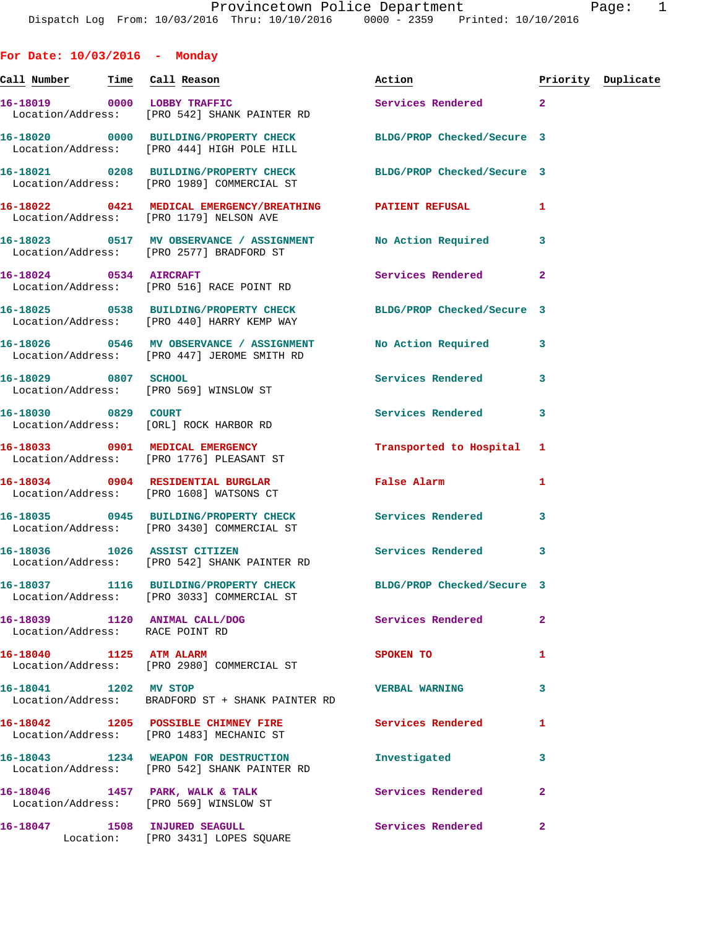| For Date: $10/03/2016$ - Monday |                                                                                                            |                                                                                                                |                |                    |
|---------------------------------|------------------------------------------------------------------------------------------------------------|----------------------------------------------------------------------------------------------------------------|----------------|--------------------|
|                                 |                                                                                                            | Action                                                                                                         |                | Priority Duplicate |
|                                 | 16-18019 0000 LOBBY TRAFFIC<br>Location/Address: [PRO 542] SHANK PAINTER RD                                | Services Rendered                                                                                              | $\overline{2}$ |                    |
|                                 | 16-18020 0000 BUILDING/PROPERTY CHECK<br>Location/Address: [PRO 444] HIGH POLE HILL                        | BLDG/PROP Checked/Secure 3                                                                                     |                |                    |
|                                 | 16-18021 0208 BUILDING/PROPERTY CHECK<br>Location/Address: [PRO 1989] COMMERCIAL ST                        | BLDG/PROP Checked/Secure 3                                                                                     |                |                    |
|                                 | 16-18022 0421 MEDICAL EMERGENCY/BREATHING PATIENT REFUSAL<br>Location/Address: [PRO 1179] NELSON AVE       |                                                                                                                | 1              |                    |
|                                 | 16-18023 0517 MV OBSERVANCE / ASSIGNMENT<br>Location/Address: [PRO 2577] BRADFORD ST                       | No Action Required                                                                                             | 3              |                    |
|                                 | 16-18024 0534 AIRCRAFT<br>Location/Address: [PRO 516] RACE POINT RD                                        | Services Rendered                                                                                              | $\mathbf{2}$   |                    |
|                                 | 16-18025 0538 BUILDING/PROPERTY CHECK<br>Location/Address: [PRO 440] HARRY KEMP WAY                        | BLDG/PROP Checked/Secure 3                                                                                     |                |                    |
|                                 | 16-18026 0546 MV OBSERVANCE / ASSIGNMENT No Action Required<br>Location/Address: [PRO 447] JEROME SMITH RD |                                                                                                                | 3              |                    |
| 16-18029 0807 SCHOOL            | Location/Address: [PRO 569] WINSLOW ST                                                                     | <b>Services Rendered</b>                                                                                       | 3              |                    |
| 16-18030 0829 COURT             | Location/Address: [ORL] ROCK HARBOR RD                                                                     | Services Rendered                                                                                              | 3              |                    |
|                                 | 16-18033 0901 MEDICAL EMERGENCY<br>Location/Address: [PRO 1776] PLEASANT ST                                | Transported to Hospital                                                                                        | 1              |                    |
|                                 | 16-18034 0904 RESIDENTIAL BURGLAR<br>Location/Address: [PRO 1608] WATSONS CT                               | False Alarm and the state of the state of the state of the state of the state of the state of the state of the | 1              |                    |
|                                 | 16-18035 0945 BUILDING/PROPERTY CHECK<br>Location/Address: [PRO 3430] COMMERCIAL ST                        | Services Rendered                                                                                              | 3              |                    |
|                                 | 16-18036 1026 ASSIST CITIZEN<br>Location/Address: [PRO 542] SHANK PAINTER RD                               | Services Rendered                                                                                              | 3              |                    |
|                                 | 16-18037 1116 BUILDING/PROPERTY CHECK<br>Location/Address: [PRO 3033] COMMERCIAL ST                        | BLDG/PROP Checked/Secure 3                                                                                     |                |                    |
| Location/Address: RACE POINT RD | 16-18039 1120 ANIMAL CALL/DOG                                                                              | <b>Services Rendered</b>                                                                                       | $\overline{2}$ |                    |
|                                 | 16-18040 1125 ATM ALARM<br>Location/Address: [PRO 2980] COMMERCIAL ST                                      | SPOKEN TO                                                                                                      | 1              |                    |
| 16-18041 1202 MV STOP           | Location/Address: BRADFORD ST + SHANK PAINTER RD                                                           | <b>VERBAL WARNING</b>                                                                                          | 3              |                    |
|                                 | 16-18042 1205 POSSIBLE CHIMNEY FIRE Services Rendered<br>Location/Address: [PRO 1483] MECHANIC ST          |                                                                                                                | 1              |                    |
|                                 | 16-18043 1234 WEAPON FOR DESTRUCTION<br>Location/Address: [PRO 542] SHANK PAINTER RD                       | Investigated                                                                                                   | 3              |                    |
|                                 | 16-18046 1457 PARK, WALK & TALK<br>Location/Address: [PRO 569] WINSLOW ST                                  | Services Rendered                                                                                              | $\overline{2}$ |                    |
|                                 | 16-18047 1508 INJURED SEAGULL<br>Location: [PRO 3431] LOPES SQUARE                                         | Services Rendered                                                                                              | $\mathbf{2}$   |                    |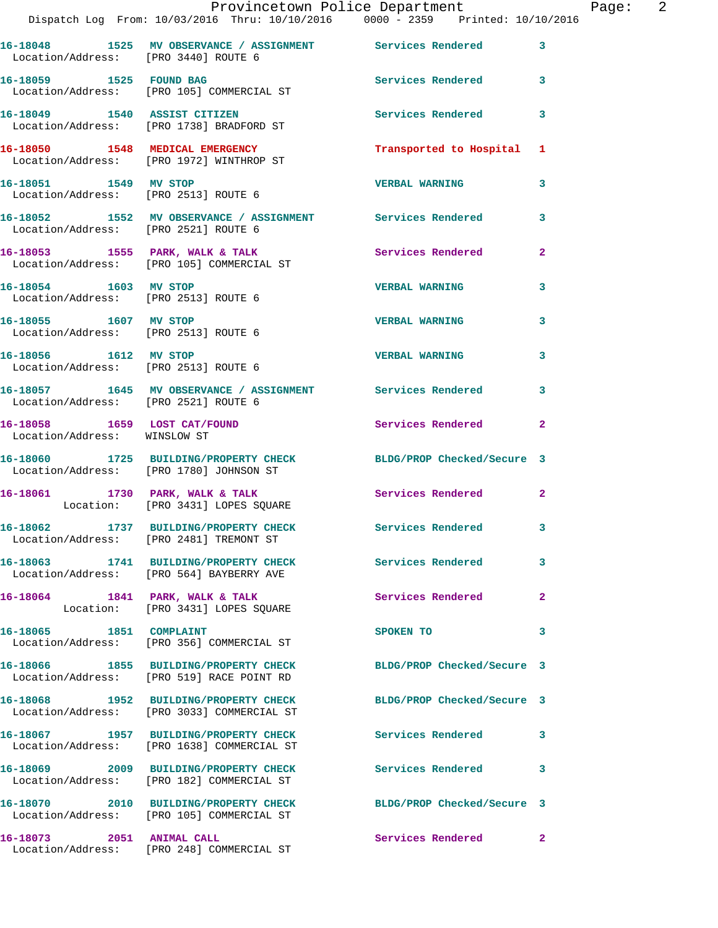|                                      | Provincetown Police Department The Page: 2<br>Dispatch Log From: 10/03/2016 Thru: 10/10/2016 0000 - 2359 Printed: 10/10/2016 |                           |                |  |
|--------------------------------------|------------------------------------------------------------------------------------------------------------------------------|---------------------------|----------------|--|
| Location/Address: [PRO 3440] ROUTE 6 | 16-18048 1525 MV OBSERVANCE / ASSIGNMENT Services Rendered 3                                                                 |                           |                |  |
|                                      | 16-18059 1525 FOUND BAG<br>Location/Address: [PRO 105] COMMERCIAL ST                                                         | Services Rendered 3       |                |  |
|                                      | 16-18049 1540 ASSIST CITIZEN<br>Location/Address: [PRO 1738] BRADFORD ST                                                     | Services Rendered 3       |                |  |
|                                      | 16-18050 1548 MEDICAL EMERGENCY<br>Location/Address: [PRO 1972] WINTHROP ST                                                  | Transported to Hospital 1 |                |  |
|                                      | 16-18051 1549 MV STOP<br>Location/Address: [PRO 2513] ROUTE 6                                                                | <b>VERBAL WARNING</b>     | $\mathbf{3}$   |  |
| Location/Address: [PRO 2521] ROUTE 6 | 16-18052 1552 MV OBSERVANCE / ASSIGNMENT Services Rendered                                                                   |                           | 3              |  |
|                                      | 16-18053 1555 PARK, WALK & TALK 1988 Services Rendered<br>Location/Address: [PRO 105] COMMERCIAL ST                          |                           | $\overline{2}$ |  |
| Location/Address: [PRO 2513] ROUTE 6 | 16-18054 1603 MV STOP                                                                                                        | <b>VERBAL WARNING</b>     | 3              |  |
| 16-18055 1607 MV STOP                | Location/Address: [PRO 2513] ROUTE 6                                                                                         | <b>VERBAL WARNING</b>     | $\mathbf{3}$   |  |
| Location/Address: [PRO 2513] ROUTE 6 | 16-18056 1612 MV STOP                                                                                                        | <b>VERBAL WARNING</b>     | 3              |  |
| Location/Address: [PRO 2521] ROUTE 6 | 16-18057 1645 MV OBSERVANCE / ASSIGNMENT Services Rendered 3                                                                 |                           |                |  |
| Location/Address: WINSLOW ST         | 16-18058 1659 LOST CAT/FOUND 16-18058 Rendered                                                                               |                           | $\mathbf{2}$   |  |
|                                      | 16-18060 1725 BUILDING/PROPERTY CHECK BLDG/PROP Checked/Secure 3<br>Location/Address: [PRO 1780] JOHNSON ST                  |                           |                |  |
|                                      | 16-18061 1730 PARK, WALK & TALK<br>Location: [PRO 3431] LOPES SQUARE                                                         | Services Rendered 2       |                |  |
|                                      | 16-18062 1737 BUILDING/PROPERTY CHECK Services Rendered<br>Location/Address: [PRO 2481] TREMONT ST                           |                           |                |  |
|                                      | 16-18063 1741 BUILDING/PROPERTY CHECK Services Rendered<br>Location/Address: [PRO 564] BAYBERRY AVE                          |                           | 3              |  |
|                                      | 16-18064 1841 PARK, WALK & TALK<br>Location: [PRO 3431] LOPES SQUARE                                                         | Services Rendered         | $\overline{2}$ |  |
|                                      | 16-18065 1851 COMPLAINT<br>Location/Address: [PRO 356] COMMERCIAL ST                                                         | SPOKEN TO                 | 3              |  |
|                                      | 16-18066 1855 BUILDING/PROPERTY CHECK BLDG/PROP Checked/Secure 3<br>Location/Address: [PRO 519] RACE POINT RD                |                           |                |  |
|                                      | 16-18068 1952 BUILDING/PROPERTY CHECK BLDG/PROP Checked/Secure 3<br>Location/Address: [PRO 3033] COMMERCIAL ST               |                           |                |  |
|                                      | 16-18067 1957 BUILDING/PROPERTY CHECK Services Rendered 3<br>Location/Address: [PRO 1638] COMMERCIAL ST                      |                           |                |  |
|                                      | 16-18069 2009 BUILDING/PROPERTY CHECK Services Rendered<br>Location/Address: [PRO 182] COMMERCIAL ST                         |                           | 3              |  |
|                                      | 16-18070 2010 BUILDING/PROPERTY CHECK BLDG/PROP Checked/Secure 3<br>Location/Address: [PRO 105] COMMERCIAL ST                |                           |                |  |
| 16-18073   2051   ANIMAL CALL        |                                                                                                                              | Services Rendered 2       |                |  |

Location/Address: [PRO 248] COMMERCIAL ST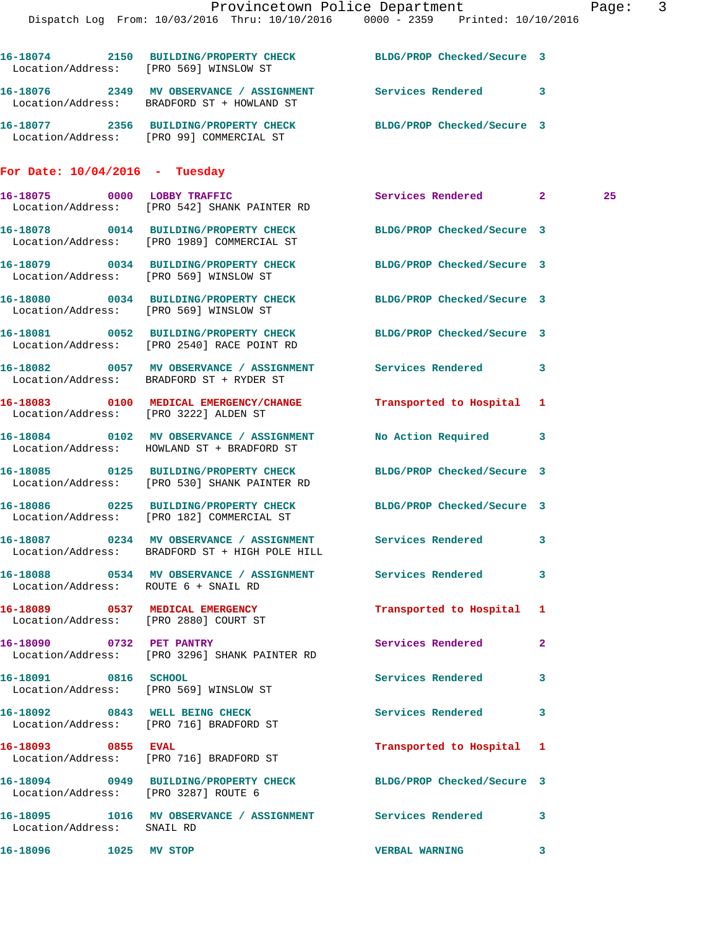|                                        | Provincetown Police Department<br>Dispatch Log From: 10/03/2016 Thru: 10/10/2016 0000 - 2359 Printed: 10/10/2016 |                            | $\overline{3}$<br>Page: |  |
|----------------------------------------|------------------------------------------------------------------------------------------------------------------|----------------------------|-------------------------|--|
| Location/Address: [PRO 569] WINSLOW ST | 16-18074 2150 BUILDING/PROPERTY CHECK BLDG/PROP Checked/Secure 3                                                 |                            |                         |  |
|                                        | 16-18076 2349 MV OBSERVANCE / ASSIGNMENT Services Rendered 3<br>Location/Address: BRADFORD ST + HOWLAND ST       |                            |                         |  |
|                                        | 16-18077 2356 BUILDING/PROPERTY CHECK BLDG/PROP Checked/Secure 3<br>Location/Address: [PRO 99] COMMERCIAL ST     |                            |                         |  |
| For Date: $10/04/2016$ - Tuesday       |                                                                                                                  |                            |                         |  |
|                                        | 16-18075 0000 LOBBY TRAFFIC<br>Location/Address: [PRO 542] SHANK PAINTER RD                                      | Services Rendered 2        | 25                      |  |
|                                        | 16-18078 0014 BUILDING/PROPERTY CHECK<br>Location/Address: [PRO 1989] COMMERCIAL ST                              | BLDG/PROP Checked/Secure 3 |                         |  |
| Location/Address: [PRO 569] WINSLOW ST | 16-18079 0034 BUILDING/PROPERTY CHECK                                                                            | BLDG/PROP Checked/Secure 3 |                         |  |
| Location/Address: [PRO 569] WINSLOW ST | 16-18080 0034 BUILDING/PROPERTY CHECK BLDG/PROP Checked/Secure 3                                                 |                            |                         |  |
|                                        | 16-18081 0052 BUILDING/PROPERTY CHECK BLDG/PROP Checked/Secure 3<br>Location/Address: [PRO 2540] RACE POINT RD   |                            |                         |  |
|                                        | 16-18082 0057 MV OBSERVANCE / ASSIGNMENT Services Rendered<br>Location/Address: BRADFORD ST + RYDER ST           |                            | $\mathbf{3}$            |  |
| Location/Address: [PRO 3222] ALDEN ST  | 16-18083 0100 MEDICAL EMERGENCY/CHANGE                                                                           | Transported to Hospital 1  |                         |  |
|                                        | 16-18084 0102 MV OBSERVANCE / ASSIGNMENT<br>Location/Address: HOWLAND ST + BRADFORD ST                           | No Action Required         | 3                       |  |
|                                        | 16-18085 0125 BUILDING/PROPERTY CHECK BLDG/PROP Checked/Secure 3<br>Location/Address: [PRO 530] SHANK PAINTER RD |                            |                         |  |
|                                        | 16-18086 0225 BUILDING/PROPERTY CHECK BLDG/PROP Checked/Secure 3<br>Location/Address: [PRO 182] COMMERCIAL ST    |                            |                         |  |
|                                        | 16-18087 0234 MV OBSERVANCE / ASSIGNMENT Services Rendered<br>Location/Address: BRADFORD ST + HIGH POLE HILL     |                            | 3                       |  |
| Location/Address: ROUTE 6 + SNAIL RD   | 16-18088 0534 MV OBSERVANCE / ASSIGNMENT Services Rendered 3                                                     |                            |                         |  |
| Location/Address: [PRO 2880] COURT ST  | 16-18089 0537 MEDICAL EMERGENCY                                                                                  | Transported to Hospital 1  |                         |  |
| 16-18090 0732 PET PANTRY               | Location/Address: [PRO 3296] SHANK PAINTER RD                                                                    | Services Rendered          | $\mathbf{2}$            |  |
|                                        | 16-18091 0816 SCHOOL<br>Location/Address: [PRO 569] WINSLOW ST                                                   | Services Rendered          | 3                       |  |
|                                        | 16-18092 0843 WELL BEING CHECK<br>Location/Address: [PRO 716] BRADFORD ST                                        | Services Rendered          | 3                       |  |
| 16-18093 0855 EVAL                     | Location/Address: [PRO 716] BRADFORD ST                                                                          | Transported to Hospital 1  |                         |  |
| Location/Address: [PRO 3287] ROUTE 6   | 16-18094 0949 BUILDING/PROPERTY CHECK BLDG/PROP Checked/Secure 3                                                 |                            |                         |  |
| Location/Address: SNAIL RD             | 16-18095 1016 MV OBSERVANCE / ASSIGNMENT Services Rendered                                                       |                            | 3                       |  |
| 16-18096 1025 MV STOP                  |                                                                                                                  | <b>VERBAL WARNING</b>      | 3                       |  |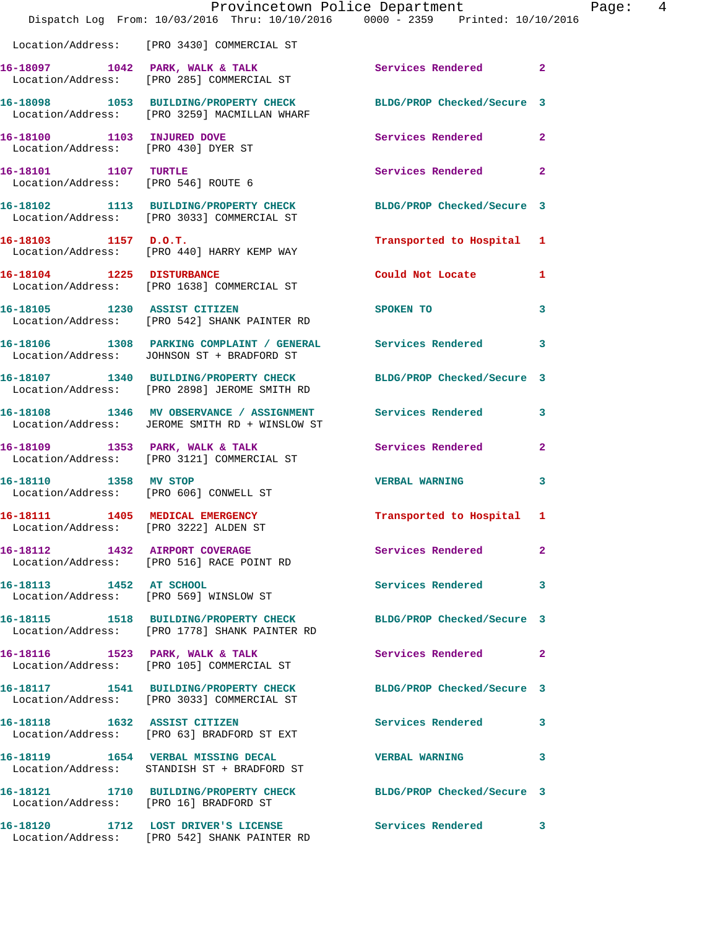|                                     |                                                                                                                   | Provincetown Police Department          | Page: 4      |  |
|-------------------------------------|-------------------------------------------------------------------------------------------------------------------|-----------------------------------------|--------------|--|
|                                     | Dispatch Log From: 10/03/2016 Thru: 10/10/2016 0000 - 2359 Printed: 10/10/2016                                    |                                         |              |  |
|                                     | Location/Address: [PRO 3430] COMMERCIAL ST                                                                        |                                         |              |  |
|                                     | 16-18097 1042 PARK, WALK & TALK 1998 Services Rendered 2<br>Location/Address: [PRO 285] COMMERCIAL ST             |                                         |              |  |
|                                     | 16-18098 1053 BUILDING/PROPERTY CHECK BLDG/PROP Checked/Secure 3<br>Location/Address: [PRO 3259] MACMILLAN WHARF  |                                         |              |  |
| Location/Address: [PRO 430] DYER ST | 16-18100 1103 INJURED DOVE                                                                                        | Services Rendered 2                     |              |  |
| 16-18101 1107 TURTLE                | Location/Address: [PRO 546] ROUTE 6                                                                               | Services Rendered 2                     |              |  |
|                                     | 16-18102 1113 BUILDING/PROPERTY CHECK<br>Location/Address: [PRO 3033] COMMERCIAL ST                               | BLDG/PROP Checked/Secure 3              |              |  |
| 16-18103 1157 D.O.T.                | Location/Address: [PRO 440] HARRY KEMP WAY                                                                        | Transported to Hospital 1               |              |  |
|                                     | 16-18104 1225 DISTURBANCE<br>Location/Address: [PRO 1638] COMMERCIAL ST                                           | Could Not Locate 1                      |              |  |
| 16-18105 1230 ASSIST CITIZEN        | Location/Address: [PRO 542] SHANK PAINTER RD                                                                      | SPOKEN TO DESCRIPTION OF REAL PROPERTY. | 3            |  |
|                                     | 16-18106 1308 PARKING COMPLAINT / GENERAL Services Rendered 3<br>Location/Address: JOHNSON ST + BRADFORD ST       |                                         |              |  |
|                                     | 16-18107 1340 BUILDING/PROPERTY CHECK<br>Location/Address: [PRO 2898] JEROME SMITH RD                             | BLDG/PROP Checked/Secure 3              |              |  |
|                                     | 16-18108 1346 MV OBSERVANCE / ASSIGNMENT Services Rendered 3<br>Location/Address: JEROME SMITH RD + WINSLOW ST    |                                         |              |  |
|                                     | 16-18109 1353 PARK, WALK & TALK<br>Location/Address: [PRO 3121] COMMERCIAL ST                                     | Services Rendered 2                     |              |  |
| 16-18110 1358 MV STOP               | Location/Address: [PRO 606] CONWELL ST                                                                            | VERBAL WARNING 3                        |              |  |
|                                     | Location/Address: [PRO 3222] ALDEN ST                                                                             | Transported to Hospital 1               |              |  |
|                                     | 16-18112 1432 AIRPORT COVERAGE<br>Location/Address: [PRO 516] RACE POINT RD                                       | Services Rendered                       | $\mathbf{2}$ |  |
| 16-18113 1452 AT SCHOOL             | Location/Address: [PRO 569] WINSLOW ST                                                                            | Services Rendered 3                     |              |  |
|                                     | 16-18115 1518 BUILDING/PROPERTY CHECK BLDG/PROP Checked/Secure 3<br>Location/Address: [PRO 1778] SHANK PAINTER RD |                                         |              |  |
|                                     | 16-18116 1523 PARK, WALK & TALK<br>Location/Address: [PRO 105] COMMERCIAL ST                                      | Services Rendered 2                     |              |  |
|                                     | 16-18117 1541 BUILDING/PROPERTY CHECK BLDG/PROP Checked/Secure 3<br>Location/Address: [PRO 3033] COMMERCIAL ST    |                                         |              |  |
|                                     | 16-18118 1632 ASSIST CITIZEN<br>Location/Address: [PRO 63] BRADFORD ST EXT                                        | Services Rendered 3                     |              |  |
|                                     | 16-18119 1654 VERBAL MISSING DECAL<br>Location/Address: STANDISH ST + BRADFORD ST                                 | VERBAL WARNING 3                        |              |  |
|                                     | 16-18121 1710 BUILDING/PROPERTY CHECK BLDG/PROP Checked/Secure 3<br>Location/Address: [PRO 16] BRADFORD ST        |                                         |              |  |
|                                     | 16-18120 1712 LOST DRIVER'S LICENSE Services Rendered 3<br>Location/Address: [PRO 542] SHANK PAINTER RD           |                                         |              |  |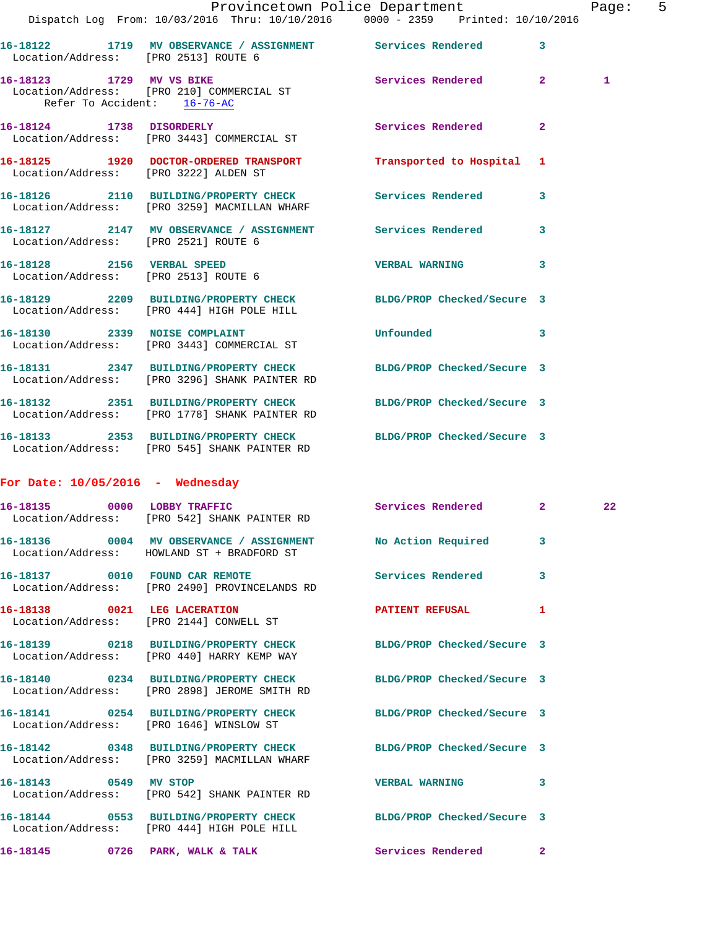|                                      | Dispatch Log From: 10/03/2016 Thru: 10/10/2016 0000 - 2359 Printed: 10/10/2016                                    | Provincetown Police Department |              | Page: 5 |  |
|--------------------------------------|-------------------------------------------------------------------------------------------------------------------|--------------------------------|--------------|---------|--|
| Location/Address: [PRO 2513] ROUTE 6 | 16-18122 1719 MV OBSERVANCE / ASSIGNMENT Services Rendered 3                                                      |                                |              |         |  |
| Refer To Accident: 16-76-AC          | 16-18123 1729 MV VS BIKE<br>Location/Address: [PRO 210] COMMERCIAL ST                                             | Services Rendered 2            |              | 1       |  |
|                                      | 16-18124 1738 DISORDERLY<br>Location/Address: [PRO 3443] COMMERCIAL ST                                            | Services Rendered              | $\mathbf{2}$ |         |  |
|                                      | 16-18125 1920 DOCTOR-ORDERED TRANSPORT Transported to Hospital 1<br>Location/Address: [PRO 3222] ALDEN ST         |                                |              |         |  |
|                                      | 16-18126 2110 BUILDING/PROPERTY CHECK Services Rendered 3<br>Location/Address: [PRO 3259] MACMILLAN WHARF         |                                |              |         |  |
| Location/Address: [PRO 2521] ROUTE 6 | 16-18127 2147 MV OBSERVANCE / ASSIGNMENT Services Rendered 3                                                      |                                |              |         |  |
|                                      | 16-18128 2156 VERBAL SPEED<br>Location/Address: [PRO 2513] ROUTE 6                                                | VERBAL WARNING 3               |              |         |  |
|                                      | 16-18129 2209 BUILDING/PROPERTY CHECK BLDG/PROP Checked/Secure 3<br>Location/Address: [PRO 444] HIGH POLE HILL    |                                |              |         |  |
|                                      | 16-18130 2339 NOISE COMPLAINT<br>Location/Address: [PRO 3443] COMMERCIAL ST                                       | Unfounded 3                    |              |         |  |
|                                      | 16-18131 2347 BUILDING/PROPERTY CHECK<br>Location/Address: [PRO 3296] SHANK PAINTER RD                            | BLDG/PROP Checked/Secure 3     |              |         |  |
|                                      | 16-18132 2351 BUILDING/PROPERTY CHECK BLDG/PROP Checked/Secure 3<br>Location/Address: [PRO 1778] SHANK PAINTER RD |                                |              |         |  |
|                                      | 16-18133 2353 BUILDING/PROPERTY CHECK BLDG/PROP Checked/Secure 3<br>Location/Address: [PRO 545] SHANK PAINTER RD  |                                |              |         |  |
| For Date: $10/05/2016$ - Wednesday   |                                                                                                                   |                                |              |         |  |
|                                      | 16-18135 0000 LOBBY TRAFFIC<br>Location/Address: [PRO 542] SHANK PAINTER RD                                       | Services Rendered 2            |              | 22      |  |
|                                      | 16-18136 0004 MV OBSERVANCE / ASSIGNMENT No Action Required 3<br>Location/Address: HOWLAND ST + BRADFORD ST       |                                |              |         |  |
|                                      | 16-18137 0010 FOUND CAR REMOTE<br>Location/Address: [PRO 2490] PROVINCELANDS RD                                   | Services Rendered 3            |              |         |  |
|                                      | 16-18138 0021 LEG LACERATION<br>Location/Address: [PRO 2144] CONWELL ST                                           | PATIENT REFUSAL 1              |              |         |  |
|                                      | 16-18139 0218 BUILDING/PROPERTY CHECK BLDG/PROP Checked/Secure 3<br>Location/Address: [PRO 440] HARRY KEMP WAY    |                                |              |         |  |
|                                      | 16-18140 0234 BUILDING/PROPERTY CHECK BLDG/PROP Checked/Secure 3<br>Location/Address: [PRO 2898] JEROME SMITH RD  |                                |              |         |  |
|                                      | 16-18141 0254 BUILDING/PROPERTY CHECK BLDG/PROP Checked/Secure 3<br>Location/Address: [PRO 1646] WINSLOW ST       |                                |              |         |  |
|                                      | 16-18142 0348 BUILDING/PROPERTY CHECK BLDG/PROP Checked/Secure 3<br>Location/Address: [PRO 3259] MACMILLAN WHARF  |                                |              |         |  |
| 16-18143 0549 MV STOP                | Location/Address: [PRO 542] SHANK PAINTER RD                                                                      | VERBAL WARNING 3               |              |         |  |
|                                      | 16-18144 0553 BUILDING/PROPERTY CHECK BLDG/PROP Checked/Secure 3<br>Location/Address: [PRO 444] HIGH POLE HILL    |                                |              |         |  |
|                                      | 16-18145 0726 PARK, WALK & TALK Services Rendered 2                                                               |                                |              |         |  |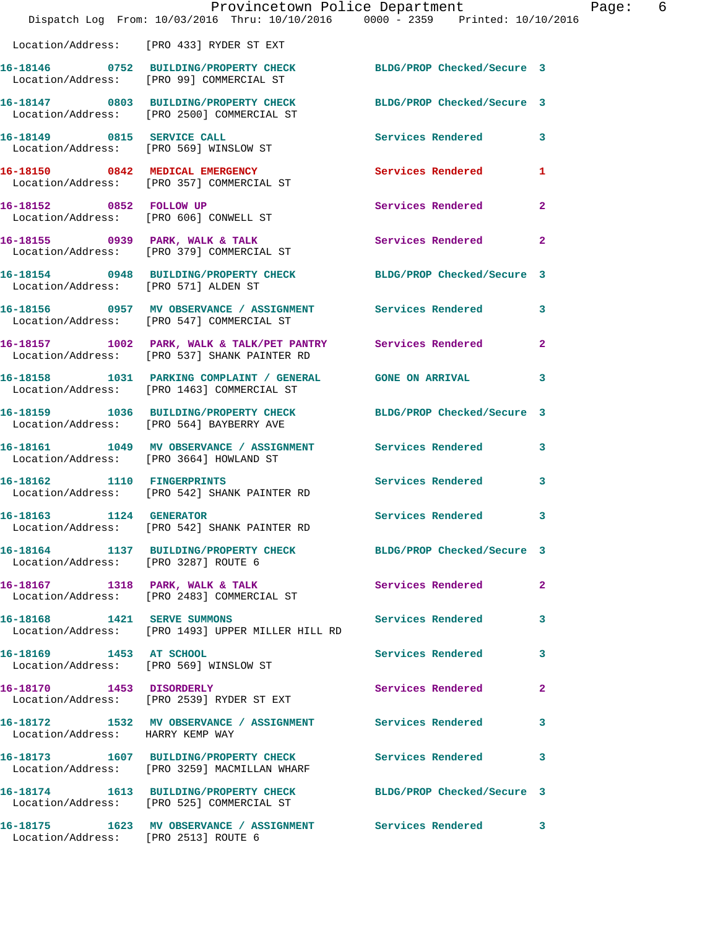|                                      | Dispatch Log From: 10/03/2016 Thru: 10/10/2016 0000 - 2359 Printed: 10/10/2016                                 | Provincetown Police Department | Page: 6      |  |
|--------------------------------------|----------------------------------------------------------------------------------------------------------------|--------------------------------|--------------|--|
|                                      | Location/Address: [PRO 433] RYDER ST EXT                                                                       |                                |              |  |
|                                      | 16-18146 0752 BUILDING/PROPERTY CHECK BLDG/PROP Checked/Secure 3<br>Location/Address: [PRO 99] COMMERCIAL ST   |                                |              |  |
|                                      | 16-18147 0803 BUILDING/PROPERTY CHECK BLDG/PROP Checked/Secure 3<br>Location/Address: [PRO 2500] COMMERCIAL ST |                                |              |  |
|                                      | 16-18149 0815 SERVICE CALL<br>Location/Address: [PRO 569] WINSLOW ST                                           | Services Rendered 3            |              |  |
|                                      | 16-18150 0842 MEDICAL EMERGENCY<br>Location/Address: [PRO 357] COMMERCIAL ST                                   | Services Rendered 1            |              |  |
|                                      | 16-18152 0852 FOLLOW UP<br>Location/Address: [PRO 606] CONWELL ST                                              | Services Rendered 2            |              |  |
|                                      | 16-18155 0939 PARK, WALK & TALK<br>Location/Address: [PRO 379] COMMERCIAL ST                                   | Services Rendered 2            |              |  |
| Location/Address: [PRO 571] ALDEN ST | 16-18154 0948 BUILDING/PROPERTY CHECK BLDG/PROP Checked/Secure 3                                               |                                |              |  |
|                                      | 16-18156 0957 MV OBSERVANCE / ASSIGNMENT Services Rendered 3<br>Location/Address: [PRO 547] COMMERCIAL ST      |                                |              |  |
|                                      | 16-18157 1002 PARK, WALK & TALK/PET PANTRY Services Rendered 2<br>Location/Address: [PRO 537] SHANK PAINTER RD |                                |              |  |
|                                      | 16-18158 1031 PARKING COMPLAINT / GENERAL GONE ON ARRIVAL 3<br>Location/Address: [PRO 1463] COMMERCIAL ST      |                                |              |  |
|                                      | 16-18159 1036 BUILDING/PROPERTY CHECK BLDG/PROP Checked/Secure 3<br>Location/Address: [PRO 564] BAYBERRY AVE   |                                |              |  |
|                                      | 16-18161 1049 MV OBSERVANCE / ASSIGNMENT Services Rendered 3<br>Location/Address: [PRO 3664] HOWLAND ST        |                                |              |  |
|                                      | 16-18162 1110 FINGERPRINTS<br>Location/Address: [PRO 542] SHANK PAINTER RD                                     | Services Rendered              | 3            |  |
| 16-18163 1124 GENERATOR              | Location/Address: [PRO 542] SHANK PAINTER RD                                                                   | Services Rendered 3            |              |  |
| Location/Address: [PRO 3287] ROUTE 6 | 16-18164 1137 BUILDING/PROPERTY CHECK BLDG/PROP Checked/Secure 3                                               |                                |              |  |
|                                      | 16-18167 1318 PARK, WALK & TALK<br>Location/Address: [PRO 2483] COMMERCIAL ST                                  | <b>Services Rendered 22</b>    |              |  |
| 16-18168 1421 SERVE SUMMONS          | Location/Address: [PRO 1493] UPPER MILLER HILL RD                                                              | Services Rendered 3            |              |  |
| 16-18169 1453 AT SCHOOL              | Location/Address: [PRO 569] WINSLOW ST                                                                         | Services Rendered              | 3            |  |
|                                      | 16-18170 1453 DISORDERLY<br>Location/Address: [PRO 2539] RYDER ST EXT                                          | Services Rendered              | $\mathbf{2}$ |  |
| Location/Address: HARRY KEMP WAY     | 16-18172 1532 MV OBSERVANCE / ASSIGNMENT Services Rendered                                                     |                                | 3            |  |
|                                      | 16-18173 1607 BUILDING/PROPERTY CHECK Services Rendered 3<br>Location/Address: [PRO 3259] MACMILLAN WHARF      |                                |              |  |
|                                      | 16-18174 1613 BUILDING/PROPERTY CHECK BLDG/PROP Checked/Secure 3<br>Location/Address: [PRO 525] COMMERCIAL ST  |                                |              |  |
| Location/Address: [PRO 2513] ROUTE 6 | 16-18175 1623 MV OBSERVANCE / ASSIGNMENT Services Rendered 3                                                   |                                |              |  |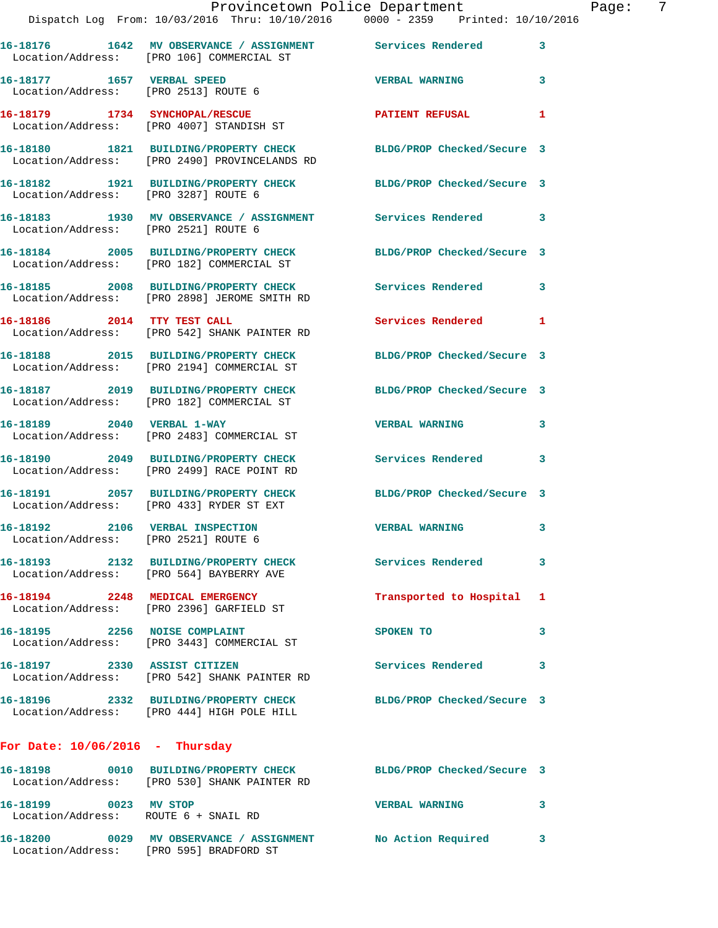|                                                                         | Provincetown Police Department<br>Dispatch Log From: 10/03/2016 Thru: 10/10/2016 0000 - 2359 Printed: 10/10/2016  |                            | Page: 7      |
|-------------------------------------------------------------------------|-------------------------------------------------------------------------------------------------------------------|----------------------------|--------------|
|                                                                         | 16-18176 1642 MV OBSERVANCE / ASSIGNMENT Services Rendered<br>Location/Address: [PRO 106] COMMERCIAL ST           |                            | $\mathbf{3}$ |
| Location/Address: [PRO 2513] ROUTE 6                                    | 16-18177 1657 VERBAL SPEED                                                                                        | <b>VERBAL WARNING</b>      | 3            |
|                                                                         | 16-18179 1734 SYNCHOPAL/RESCUE<br>Location/Address: [PRO 4007] STANDISH ST                                        | PATIENT REFUSAL            | $\mathbf{1}$ |
|                                                                         | 16-18180 1821 BUILDING/PROPERTY CHECK BLDG/PROP Checked/Secure 3<br>Location/Address: [PRO 2490] PROVINCELANDS RD |                            |              |
|                                                                         | 16-18182 1921 BUILDING/PROPERTY CHECK BLDG/PROP Checked/Secure 3<br>Location/Address: [PRO 3287] ROUTE 6          |                            |              |
| Location/Address: [PRO 2521] ROUTE 6                                    | 16-18183 1930 MV OBSERVANCE / ASSIGNMENT Services Rendered                                                        |                            | 3            |
|                                                                         | 16-18184 2005 BUILDING/PROPERTY CHECK BLDG/PROP Checked/Secure 3<br>Location/Address: [PRO 182] COMMERCIAL ST     |                            |              |
|                                                                         | 16-18185 2008 BUILDING/PROPERTY CHECK Services Rendered<br>Location/Address: [PRO 2898] JEROME SMITH RD           |                            | 3            |
|                                                                         | 16-18186 2014 TTY TEST CALL<br>Location/Address: [PRO 542] SHANK PAINTER RD                                       | Services Rendered 1        |              |
|                                                                         | 16-18188 2015 BUILDING/PROPERTY CHECK<br>Location/Address: [PRO 2194] COMMERCIAL ST                               | BLDG/PROP Checked/Secure 3 |              |
|                                                                         | 16-18187 2019 BUILDING/PROPERTY CHECK BLDG/PROP Checked/Secure 3<br>Location/Address: [PRO 182] COMMERCIAL ST     |                            |              |
|                                                                         | 16-18189 2040 VERBAL 1-WAY<br>Location/Address: [PRO 2483] COMMERCIAL ST                                          | <b>VERBAL WARNING</b>      | 3            |
|                                                                         | 16-18190 2049 BUILDING/PROPERTY CHECK Services Rendered 3<br>Location/Address: [PRO 2499] RACE POINT RD           |                            |              |
|                                                                         |                                                                                                                   | BLDG/PROP Checked/Secure 3 |              |
| 16-18192 2106 VERBAL INSPECTION<br>Location/Address: [PRO 2521] ROUTE 6 |                                                                                                                   | <b>VERBAL WARNING</b>      |              |
|                                                                         | 16-18193 2132 BUILDING/PROPERTY CHECK Services Rendered<br>Location/Address: [PRO 564] BAYBERRY AVE               |                            | 3            |
|                                                                         | 16-18194 2248 MEDICAL EMERGENCY<br>Location/Address: [PRO 2396] GARFIELD ST                                       | Transported to Hospital 1  |              |
|                                                                         | 16-18195 2256 NOISE COMPLAINT<br>Location/Address: [PRO 3443] COMMERCIAL ST                                       | SPOKEN TO                  | 3            |
|                                                                         | 16-18197 2330 ASSIST CITIZEN<br>Location/Address: [PRO 542] SHANK PAINTER RD                                      | <b>Services Rendered</b>   | 3            |
|                                                                         | 16-18196 2332 BUILDING/PROPERTY CHECK BLDG/PROP Checked/Secure 3<br>Location/Address: [PRO 444] HIGH POLE HILL    |                            |              |
| For Date: $10/06/2016$ - Thursday                                       |                                                                                                                   |                            |              |
|                                                                         | 16-18198 0010 BUILDING/PROPERTY CHECK<br>Location/Address: [PRO 530] SHANK PAINTER RD                             | BLDG/PROP Checked/Secure 3 |              |
| 16-18199 0023 MV STOP                                                   | Location/Address: ROUTE 6 + SNAIL RD                                                                              | <b>VERBAL WARNING</b>      | 3            |
|                                                                         | 16-18200      0029   MV OBSERVANCE / ASSIGNMENT      No Action Required                                           |                            | 3            |

Location/Address: [PRO 595] BRADFORD ST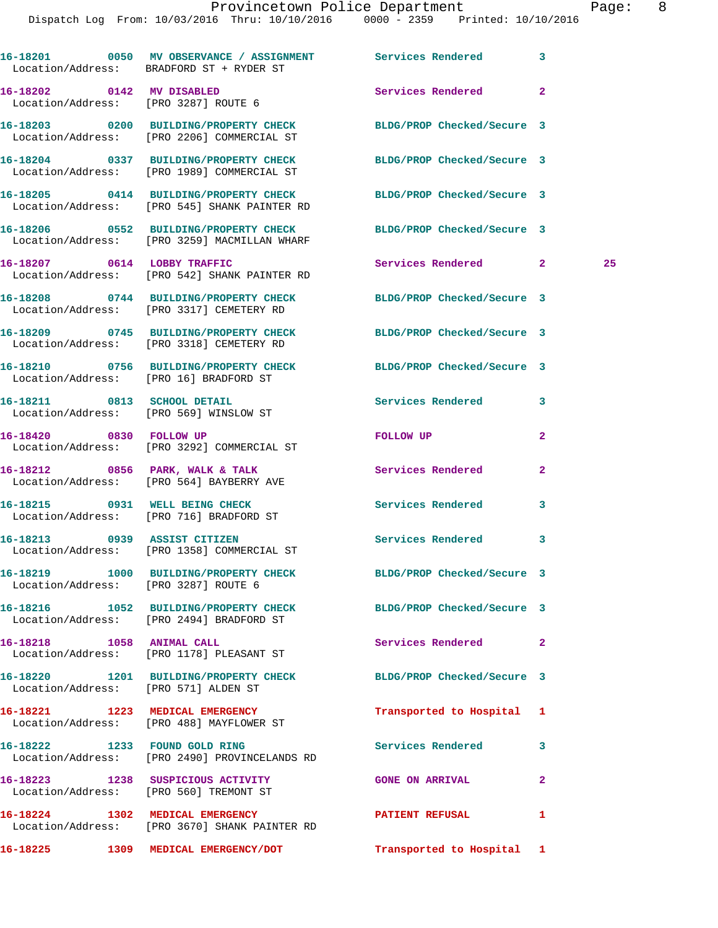|                           | 16-18201 0050 MV OBSERVANCE / ASSIGNMENT Services Rendered 3<br>Location/Address: BRADFORD ST + RYDER ST       |                            |                |    |
|---------------------------|----------------------------------------------------------------------------------------------------------------|----------------------------|----------------|----|
|                           | 16-18202 0142 MV DISABLED<br>Location/Address: [PRO 3287] ROUTE 6                                              | Services Rendered          | $\mathbf{2}$   |    |
|                           | 16-18203 0200 BUILDING/PROPERTY CHECK BLDG/PROP Checked/Secure 3<br>Location/Address: [PRO 2206] COMMERCIAL ST |                            |                |    |
|                           | 16-18204 0337 BUILDING/PROPERTY CHECK<br>Location/Address: [PRO 1989] COMMERCIAL ST                            | BLDG/PROP Checked/Secure 3 |                |    |
|                           | 16-18205 0414 BUILDING/PROPERTY CHECK<br>Location/Address: [PRO 545] SHANK PAINTER RD                          | BLDG/PROP Checked/Secure 3 |                |    |
|                           | 16-18206 0552 BUILDING/PROPERTY CHECK<br>Location/Address: [PRO 3259] MACMILLAN WHARF                          | BLDG/PROP Checked/Secure 3 |                |    |
|                           | 16-18207 0614 LOBBY TRAFFIC<br>Location/Address: [PRO 542] SHANK PAINTER RD                                    | Services Rendered 2        |                | 25 |
|                           | 16-18208 0744 BUILDING/PROPERTY CHECK<br>Location/Address: [PRO 3317] CEMETERY RD                              | BLDG/PROP Checked/Secure 3 |                |    |
|                           | 16-18209 0745 BUILDING/PROPERTY CHECK<br>Location/Address: [PRO 3318] CEMETERY RD                              | BLDG/PROP Checked/Secure 3 |                |    |
|                           | 16-18210 0756 BUILDING/PROPERTY CHECK<br>Location/Address: [PRO 16] BRADFORD ST                                | BLDG/PROP Checked/Secure 3 |                |    |
|                           | 16-18211 0813 SCHOOL DETAIL<br>Location/Address: [PRO 569] WINSLOW ST                                          | Services Rendered          | 3              |    |
| 16-18420 0830 FOLLOW UP   | Location/Address: [PRO 3292] COMMERCIAL ST                                                                     | FOLLOW UP                  | 2              |    |
|                           | 16-18212 0856 PARK, WALK & TALK<br>Location/Address: [PRO 564] BAYBERRY AVE                                    | <b>Services Rendered</b>   | 2              |    |
|                           | 16-18215 0931 WELL BEING CHECK<br>Location/Address: [PRO 716] BRADFORD ST                                      | Services Rendered          | 3              |    |
|                           | 16-18213 0939 ASSIST CITIZEN<br>Location/Address: [PRO 1358] COMMERCIAL ST                                     | Services Rendered          | 3              |    |
|                           | 16-18219 1000 BUILDING/PROPERTY CHECK BLDG/PROP Checked/Secure 3<br>Location/Address: [PRO 3287] ROUTE 6       |                            |                |    |
|                           | 16-18216 1052 BUILDING/PROPERTY CHECK<br>Location/Address: [PRO 2494] BRADFORD ST                              | BLDG/PROP Checked/Secure 3 |                |    |
| 16-18218 1058 ANIMAL CALL | Location/Address: [PRO 1178] PLEASANT ST                                                                       | Services Rendered          | $\overline{2}$ |    |
|                           | 16-18220 1201 BUILDING/PROPERTY CHECK<br>Location/Address: [PRO 571] ALDEN ST                                  | BLDG/PROP Checked/Secure 3 |                |    |
|                           | 16-18221 1223 MEDICAL EMERGENCY<br>Location/Address: [PRO 488] MAYFLOWER ST                                    | Transported to Hospital 1  |                |    |
|                           | 16-18222 1233 FOUND GOLD RING<br>Location/Address: [PRO 2490] PROVINCELANDS RD                                 | <b>Services Rendered</b>   | 3              |    |
|                           | 16-18223 1238 SUSPICIOUS ACTIVITY THE GONE ON ARRIVAL<br>Location/Address: [PRO 560] TREMONT ST                |                            | $\mathbf{2}$   |    |
|                           | 16-18224 1302 MEDICAL EMERGENCY<br>Location/Address: [PRO 3670] SHANK PAINTER RD                               | <b>PATIENT REFUSAL</b>     | 1              |    |
|                           | 16-18225 1309 MEDICAL EMERGENCY/DOT                                                                            | Transported to Hospital 1  |                |    |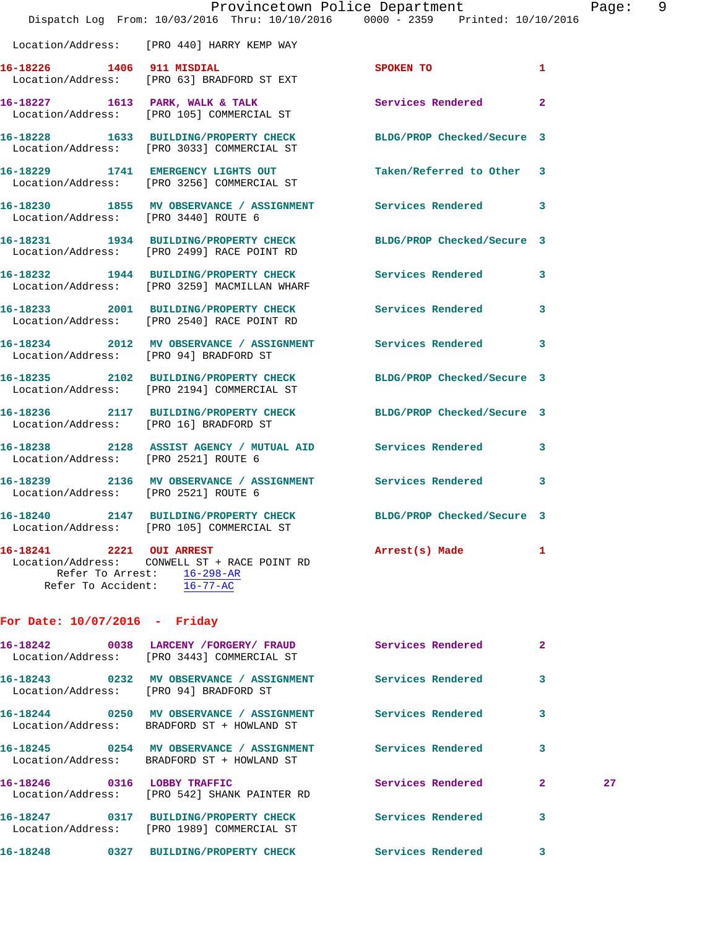|                                                                      | Dispatch Log From: 10/03/2016 Thru: 10/10/2016 0000 - 2359 Printed: 10/10/2016                                 | Provincetown Police Department |              | Page: 9 |  |
|----------------------------------------------------------------------|----------------------------------------------------------------------------------------------------------------|--------------------------------|--------------|---------|--|
|                                                                      | Location/Address: [PRO 440] HARRY KEMP WAY                                                                     |                                |              |         |  |
|                                                                      | 16-18226 1406 911 MISDIAL SPOKEN TO 1<br>Location/Address: [PRO 63] BRADFORD ST EXT                            |                                |              |         |  |
|                                                                      | 16-18227 1613 PARK, WALK & TALK 1997 Services Rendered 2<br>Location/Address: [PRO 105] COMMERCIAL ST          |                                |              |         |  |
|                                                                      | 16-18228 1633 BUILDING/PROPERTY CHECK BLDG/PROP Checked/Secure 3<br>Location/Address: [PRO 3033] COMMERCIAL ST |                                |              |         |  |
|                                                                      | 16-18229 1741 EMERGENCY LIGHTS OUT Taken/Referred to Other 3<br>Location/Address: [PRO 3256] COMMERCIAL ST     |                                |              |         |  |
| Location/Address: [PRO 3440] ROUTE 6                                 | 16-18230 1855 MV OBSERVANCE / ASSIGNMENT Services Rendered 3                                                   |                                |              |         |  |
|                                                                      | 16-18231 1934 BUILDING/PROPERTY CHECK BLDG/PROP Checked/Secure 3<br>Location/Address: [PRO 2499] RACE POINT RD |                                |              |         |  |
|                                                                      | 16-18232 1944 BUILDING/PROPERTY CHECK Services Rendered 3<br>Location/Address: [PRO 3259] MACMILLAN WHARF      |                                |              |         |  |
|                                                                      | 16-18233 2001 BUILDING/PROPERTY CHECK Services Rendered 3<br>Location/Address: [PRO 2540] RACE POINT RD        |                                |              |         |  |
|                                                                      | 16-18234 2012 MV OBSERVANCE / ASSIGNMENT Services Rendered 3<br>Location/Address: [PRO 94] BRADFORD ST         |                                |              |         |  |
|                                                                      | 16-18235 2102 BUILDING/PROPERTY CHECK BLDG/PROP Checked/Secure 3<br>Location/Address: [PRO 2194] COMMERCIAL ST |                                |              |         |  |
|                                                                      | 16-18236 2117 BUILDING/PROPERTY CHECK BLDG/PROP Checked/Secure 3<br>Location/Address: [PRO 16] BRADFORD ST     |                                |              |         |  |
| Location/Address: [PRO 2521] ROUTE 6                                 | 16-18238 2128 ASSIST AGENCY / MUTUAL AID Services Rendered 3                                                   |                                |              |         |  |
| Location/Address: [PRO 2521] ROUTE 6                                 | 16-18239 2136 MV OBSERVANCE / ASSIGNMENT Services Rendered 3                                                   |                                |              |         |  |
|                                                                      | 16-18240 2147 BUILDING/PROPERTY CHECK BLDG/PROP Checked/Secure 3<br>Location/Address: [PRO 105] COMMERCIAL ST  |                                |              |         |  |
| 16-18241 2221 OUI ARREST<br>Refer To Accident: $\overline{16-77-AC}$ | Location/Address: CONWELL ST + RACE POINT RD<br>Refer To Arrest: 16-298-AR                                     | Arrest(s) Made                 | 1            |         |  |
| For Date: $10/07/2016$ - Friday                                      |                                                                                                                |                                |              |         |  |
|                                                                      | 16-18242 0038 LARCENY /FORGERY/ FRAUD Services Rendered<br>Location/Address: [PRO 3443] COMMERCIAL ST          |                                | $\mathbf{2}$ |         |  |
| Location/Address: [PRO 94] BRADFORD ST                               | 16-18243 0232 MV OBSERVANCE / ASSIGNMENT Services Rendered                                                     |                                | 3            |         |  |
|                                                                      | 16-18244 0250 MV OBSERVANCE / ASSIGNMENT Services Rendered<br>Location/Address: BRADFORD ST + HOWLAND ST       |                                | 3            |         |  |
|                                                                      | 16-18245 0254 MV OBSERVANCE / ASSIGNMENT Services Rendered<br>Location/Address: BRADFORD ST + HOWLAND ST       |                                | 3            |         |  |
| 16-18246 0316 LOBBY TRAFFIC                                          | Location/Address: [PRO 542] SHANK PAINTER RD                                                                   | Services Rendered 2            |              | 27      |  |

**16-18247 0317 BUILDING/PROPERTY CHECK Services Rendered 3**  Location/Address: [PRO 1989] COMMERCIAL ST **16-18248 0327 BUILDING/PROPERTY CHECK Services Rendered 3**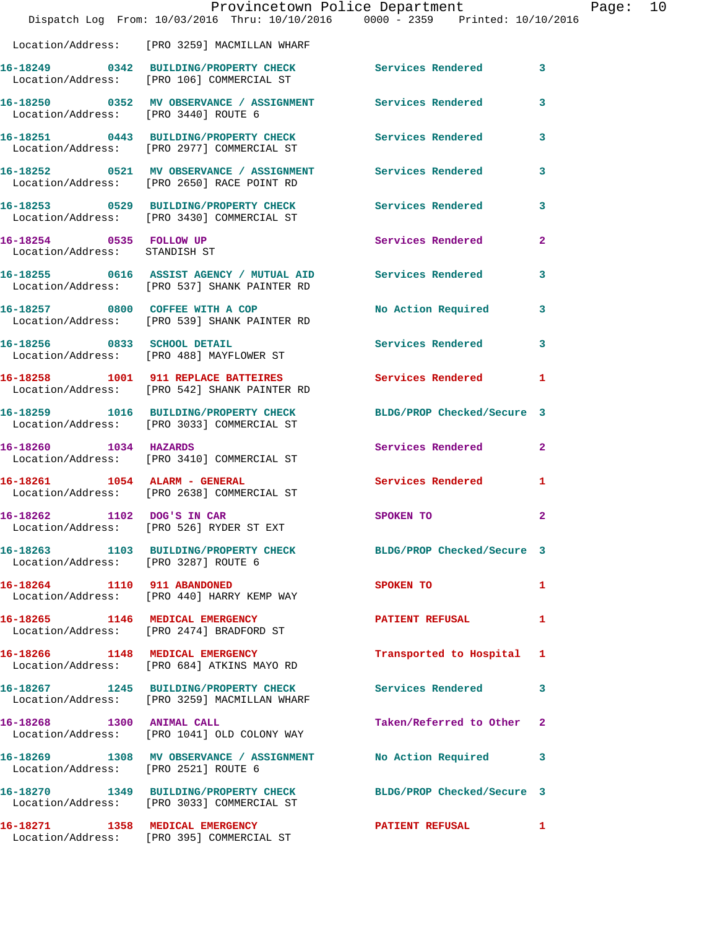|                                                          | Provincetown Police Department<br>Dispatch Log From: 10/03/2016 Thru: 10/10/2016 0000 - 2359 Printed: 10/10/2016 |                            |                         |
|----------------------------------------------------------|------------------------------------------------------------------------------------------------------------------|----------------------------|-------------------------|
|                                                          | Location/Address: [PRO 3259] MACMILLAN WHARF                                                                     |                            |                         |
|                                                          | 16-18249 0342 BUILDING/PROPERTY CHECK<br>Location/Address: [PRO 106] COMMERCIAL ST                               | Services Rendered          | 3                       |
| Location/Address: [PRO 3440] ROUTE 6                     | 16-18250 0352 MV OBSERVANCE / ASSIGNMENT Services Rendered                                                       |                            | 3                       |
|                                                          | 16-18251 0443 BUILDING/PROPERTY CHECK<br>Location/Address: [PRO 2977] COMMERCIAL ST                              | Services Rendered          | 3                       |
|                                                          | 16-18252 0521 MV OBSERVANCE / ASSIGNMENT<br>Location/Address: [PRO 2650] RACE POINT RD                           | Services Rendered          | 3                       |
|                                                          | 16-18253 0529 BUILDING/PROPERTY CHECK Services Rendered<br>Location/Address: [PRO 3430] COMMERCIAL ST            |                            | 3                       |
| 16-18254 0535 FOLLOW UP<br>Location/Address: STANDISH ST |                                                                                                                  | Services Rendered          | $\overline{a}$          |
|                                                          | 16-18255 0616 ASSIST AGENCY / MUTUAL AID Services Rendered<br>Location/Address: [PRO 537] SHANK PAINTER RD       |                            | 3                       |
|                                                          | 16-18257 0800 COFFEE WITH A COP<br>Location/Address: [PRO 539] SHANK PAINTER RD                                  | No Action Required         | 3                       |
|                                                          | 16-18256 0833 SCHOOL DETAIL<br>Location/Address: [PRO 488] MAYFLOWER ST                                          | Services Rendered          | 3                       |
|                                                          | 16-18258 1001 911 REPLACE BATTEIRES<br>Location/Address: [PRO 542] SHANK PAINTER RD                              | Services Rendered          | 1                       |
|                                                          | 16-18259 1016 BUILDING/PROPERTY CHECK<br>Location/Address: [PRO 3033] COMMERCIAL ST                              | BLDG/PROP Checked/Secure 3 |                         |
| 16-18260 1034 HAZARDS                                    | Location/Address: [PRO 3410] COMMERCIAL ST                                                                       | Services Rendered          | $\overline{a}$          |
| 16-18261 1054 ALARM - GENERAL                            | Location/Address: [PRO 2638] COMMERCIAL ST                                                                       | Services Rendered          | 1                       |
| 16-18262 1102 DOG'S IN CAR                               | Location/Address: [PRO 526] RYDER ST EXT                                                                         | SPOKEN TO                  | $\overline{\mathbf{2}}$ |
| Location/Address: [PRO 3287] ROUTE 6                     | 16-18263 1103 BUILDING/PROPERTY CHECK BLDG/PROP Checked/Secure 3                                                 |                            |                         |
|                                                          | 16-18264 1110 911 ABANDONED<br>Location/Address: [PRO 440] HARRY KEMP WAY                                        | SPOKEN TO                  | 1                       |
|                                                          | 16-18265 1146 MEDICAL EMERGENCY<br>Location/Address: [PRO 2474] BRADFORD ST                                      | PATIENT REFUSAL            | 1                       |
|                                                          | 16-18266 1148 MEDICAL EMERGENCY<br>Location/Address: [PRO 684] ATKINS MAYO RD                                    | Transported to Hospital    | 1                       |
|                                                          | 16-18267 1245 BUILDING/PROPERTY CHECK<br>Location/Address: [PRO 3259] MACMILLAN WHARF                            | Services Rendered          | 3                       |
| 16-18268 1300 ANIMAL CALL                                | Location/Address: [PRO 1041] OLD COLONY WAY                                                                      | Taken/Referred to Other    | $\mathbf{2}$            |
| Location/Address: [PRO 2521] ROUTE 6                     | 16-18269 1308 MV OBSERVANCE / ASSIGNMENT                                                                         | No Action Required         | 3                       |
|                                                          | 16-18270 1349 BUILDING/PROPERTY CHECK<br>Location/Address: [PRO 3033] COMMERCIAL ST                              | BLDG/PROP Checked/Secure 3 |                         |
|                                                          | 16-18271 1358 MEDICAL EMERGENCY<br>Location/Address: [PRO 395] COMMERCIAL ST                                     | <b>PATIENT REFUSAL</b>     | 1                       |

Page: 10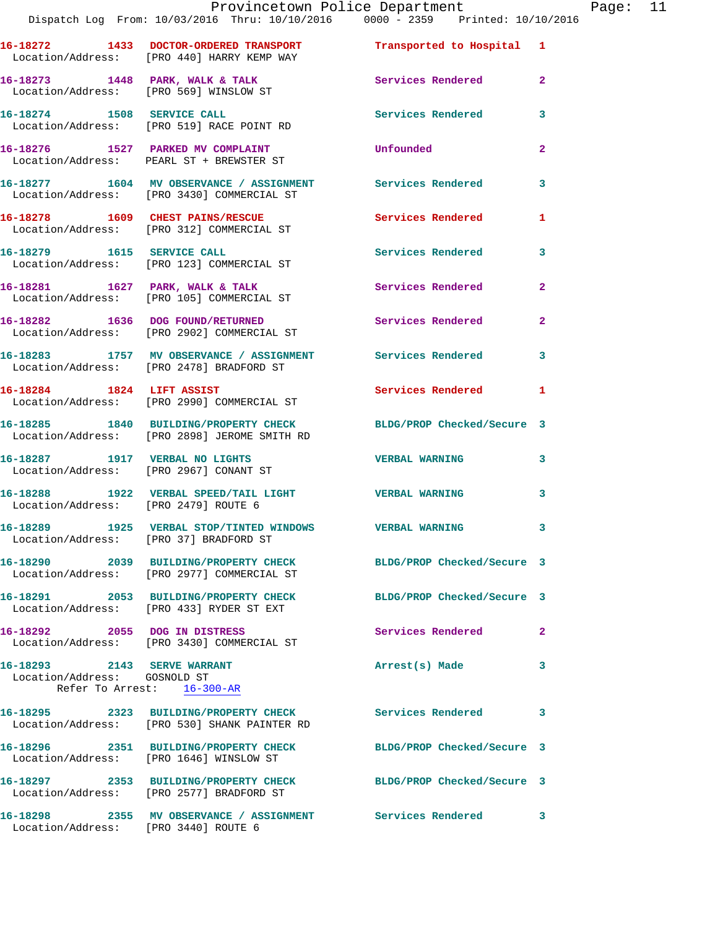Location/Address: [PRO 569] WINSLOW ST **16-18274 1508 SERVICE CALL Services Rendered 3**  Location/Address: [PRO 519] RACE POINT RD **16-18276 1527 PARKED MV COMPLAINT Unfounded 2** 

**16-18273 1448 PARK, WALK & TALK Services Rendered 2** 

**16-18277 1604 MV OBSERVANCE / ASSIGNMENT Services Rendered 3**  Location/Address: [PRO 3430] COMMERCIAL ST 16-18278 1609 CHEST PAINS/RESCUE **1** Services Rendered 1

 Location/Address: [PRO 312] COMMERCIAL ST **16-18279 1615 SERVICE CALL Services Rendered 3**  Location/Address: [PRO 123] COMMERCIAL ST

 Location/Address: [PRO 105] COMMERCIAL ST **16-18282 1636 DOG FOUND/RETURNED Services Rendered 2** 

Location/Address: [PRO 2902] COMMERCIAL ST

Location/Address: [PRO 2478] BRADFORD ST

Location/Address: [PRO 2990] COMMERCIAL ST

**16-18285 1840 BUILDING/PROPERTY CHECK BLDG/PROP Checked/Secure 3**  Location/Address: [PRO 2898] JEROME SMITH RD

Location/Address: [PRO 2967] CONANT ST

**16-18288 1922 VERBAL SPEED/TAIL LIGHT VERBAL WARNING 3**  Location/Address: [PRO 2479] ROUTE 6

**16-18289 1925 VERBAL STOP/TINTED WINDOWS VERBAL WARNING 3**  Location/Address: [PRO 37] BRADFORD ST

Location/Address: PEARL ST + BREWSTER ST

**16-18290 2039 BUILDING/PROPERTY CHECK BLDG/PROP Checked/Secure 3**  Location/Address: [PRO 2977] COMMERCIAL ST

Location/Address: [PRO 433] RYDER ST EXT

**16-18292 2055 DOG IN DISTRESS Services Rendered 2**  Location/Address: [PRO 3430] COMMERCIAL ST

**16-18293 2143 SERVE WARRANT Arrest(s) Made 3**  Location/Address: GOSNOLD ST Refer To Arrest: 16-300-AR

**16-18295 2323 BUILDING/PROPERTY CHECK Services Rendered 3**  Location/Address: [PRO 530] SHANK PAINTER RD

Location/Address: [PRO 1646] WINSLOW ST

**16-18297 2353 BUILDING/PROPERTY CHECK BLDG/PROP Checked/Secure 3**  Location/Address: [PRO 2577] BRADFORD ST

Location/Address: [PRO 3440] ROUTE 6

16-18281 1627 PARK, WALK & TALK **Services Rendered** 2

**16-18283 1757 MV OBSERVANCE / ASSIGNMENT Services Rendered 3** 

16-18284 1824 LIFT ASSIST Services Rendered 1

**16-18287 1917 VERBAL NO LIGHTS VERBAL WARNING 3** 

**16-18291 2053 BUILDING/PROPERTY CHECK BLDG/PROP Checked/Secure 3** 

**16-18296 2351 BUILDING/PROPERTY CHECK BLDG/PROP Checked/Secure 3** 

**16-18298 2355 MV OBSERVANCE / ASSIGNMENT Services Rendered 3**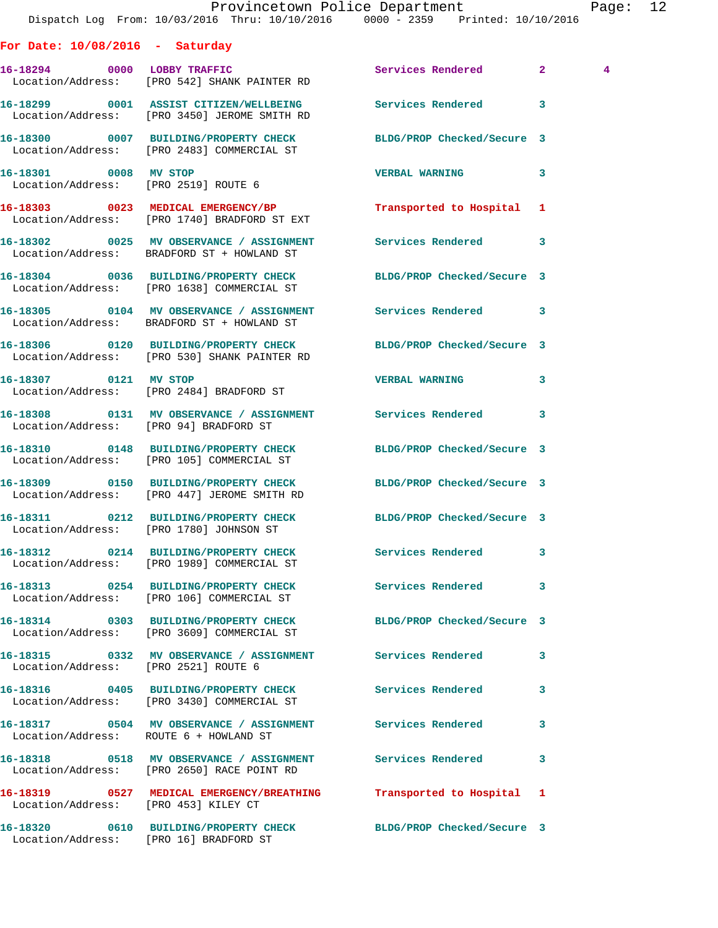|                                        | Dispatch Log From: 10/03/2016 Thru: 10/10/2016 0000 - 2359 Printed: 10/10/2016                                   | Provincetown Police Department |              | Page: 12       |  |
|----------------------------------------|------------------------------------------------------------------------------------------------------------------|--------------------------------|--------------|----------------|--|
| For Date: $10/08/2016$ - Saturday      |                                                                                                                  |                                |              |                |  |
|                                        | 16-18294 0000 LOBBY TRAFFIC Services Rendered 2<br>Location/Address: [PRO 542] SHANK PAINTER RD                  |                                |              | $\overline{4}$ |  |
|                                        | 16-18299 0001 ASSIST CITIZEN/WELLBEING Services Rendered 3<br>Location/Address: [PRO 3450] JEROME SMITH RD       |                                |              |                |  |
|                                        | 16-18300 0007 BUILDING/PROPERTY CHECK BLDG/PROP Checked/Secure 3<br>Location/Address: [PRO 2483] COMMERCIAL ST   |                                |              |                |  |
| 16-18301 0008 MV STOP                  | Location/Address: [PRO 2519] ROUTE 6                                                                             | VERBAL WARNING 3               |              |                |  |
|                                        | 16-18303 0023 MEDICAL EMERGENCY/BP<br>Location/Address: [PRO 1740] BRADFORD ST EXT                               | Transported to Hospital 1      |              |                |  |
|                                        | 16-18302 0025 MV OBSERVANCE / ASSIGNMENT Services Rendered 3<br>Location/Address: BRADFORD ST + HOWLAND ST       |                                |              |                |  |
|                                        | 16-18304 0036 BUILDING/PROPERTY CHECK<br>Location/Address: [PRO 1638] COMMERCIAL ST                              | BLDG/PROP Checked/Secure 3     |              |                |  |
|                                        | 16-18305 0104 MV OBSERVANCE / ASSIGNMENT Services Rendered 3<br>Location/Address: BRADFORD ST + HOWLAND ST       |                                |              |                |  |
|                                        | 16-18306 0120 BUILDING/PROPERTY CHECK BLDG/PROP Checked/Secure 3<br>Location/Address: [PRO 530] SHANK PAINTER RD |                                |              |                |  |
| 16-18307 0121 MV STOP                  | Location/Address: [PRO 2484] BRADFORD ST                                                                         | <b>VERBAL WARNING</b>          | 3            |                |  |
| Location/Address: [PRO 94] BRADFORD ST | 16-18308 0131 MV OBSERVANCE / ASSIGNMENT Services Rendered 3                                                     |                                |              |                |  |
|                                        | 16-18310 0148 BUILDING/PROPERTY CHECK BLDG/PROP Checked/Secure 3<br>Location/Address: [PRO 105] COMMERCIAL ST    |                                |              |                |  |
|                                        | 16-18309 0150 BUILDING/PROPERTY CHECK BLDG/PROP Checked/Secure 3<br>Location/Address: [PRO 447] JEROME SMITH RD  |                                |              |                |  |
|                                        | 16-18311 0212 BUILDING/PROPERTY CHECK BLDG/PROP Checked/Secure 3<br>Location/Address: [PRO 1780] JOHNSON ST      |                                |              |                |  |
|                                        | 16-18312 0214 BUILDING/PROPERTY CHECK Services Rendered<br>Location/Address: [PRO 1989] COMMERCIAL ST            |                                | 3            |                |  |
|                                        | 16-18313 0254 BUILDING/PROPERTY CHECK Services Rendered<br>Location/Address: [PRO 106] COMMERCIAL ST             |                                | $\mathbf{3}$ |                |  |
|                                        | 16-18314 0303 BUILDING/PROPERTY CHECK BLDG/PROP Checked/Secure 3<br>Location/Address: [PRO 3609] COMMERCIAL ST   |                                |              |                |  |
| Location/Address: [PRO 2521] ROUTE 6   | 16-18315 0332 MV OBSERVANCE / ASSIGNMENT Services Rendered 3                                                     |                                |              |                |  |
|                                        | 16-18316 0405 BUILDING/PROPERTY CHECK Services Rendered<br>Location/Address: [PRO 3430] COMMERCIAL ST            |                                | 3            |                |  |
| Location/Address: ROUTE 6 + HOWLAND ST | 16-18317 0504 MV OBSERVANCE / ASSIGNMENT Services Rendered                                                       |                                | 3            |                |  |
|                                        | 16-18318 0518 MV OBSERVANCE / ASSIGNMENT Services Rendered<br>Location/Address: [PRO 2650] RACE POINT RD         |                                | 3            |                |  |
| Location/Address: [PRO 453] KILEY CT   | 16-18319 0527 MEDICAL EMERGENCY/BREATHING                                                                        | Transported to Hospital 1      |              |                |  |
| Location/Address: [PRO 16] BRADFORD ST | 16-18320 0610 BUILDING/PROPERTY CHECK BLDG/PROP Checked/Secure 3                                                 |                                |              |                |  |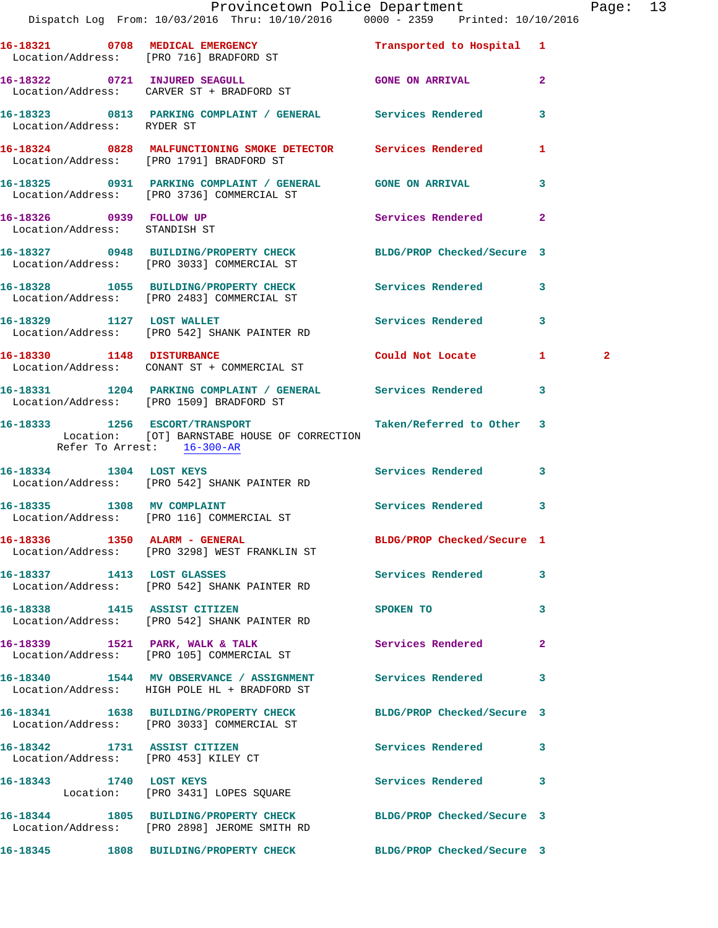|                                                          | Provincetown Police Department<br>Dispatch Log From: 10/03/2016 Thru: 10/10/2016 0000 - 2359 Printed: 10/10/2016                                     |                     |              | Page: 13     |  |
|----------------------------------------------------------|------------------------------------------------------------------------------------------------------------------------------------------------------|---------------------|--------------|--------------|--|
|                                                          | 16-18321 0708 MEDICAL EMERGENCY Transported to Hospital 1<br>Location/Address: [PRO 716] BRADFORD ST                                                 |                     |              |              |  |
|                                                          | 16-18322 0721 INJURED SEAGULL GONE ON ARRIVAL 2<br>Location/Address: CARVER ST + BRADFORD ST                                                         |                     |              |              |  |
|                                                          | 16-18323 0813 PARKING COMPLAINT / GENERAL Services Rendered 3<br>Location/Address: RYDER ST                                                          |                     |              |              |  |
|                                                          | 16-18324 0828 MALFUNCTIONING SMOKE DETECTOR Services Rendered 1<br>Location/Address: [PRO 1791] BRADFORD ST                                          |                     |              |              |  |
|                                                          | 16-18325 0931 PARKING COMPLAINT / GENERAL GONE ON ARRIVAL 3<br>Location/Address: [PRO 3736] COMMERCIAL ST                                            |                     |              |              |  |
| 16-18326 0939 FOLLOW UP<br>Location/Address: STANDISH ST |                                                                                                                                                      | Services Rendered 2 |              |              |  |
|                                                          | 16-18327 0948 BUILDING/PROPERTY CHECK BLDG/PROP Checked/Secure 3<br>Location/Address: [PRO 3033] COMMERCIAL ST                                       |                     |              |              |  |
|                                                          | 16-18328 1055 BUILDING/PROPERTY CHECK Services Rendered 3<br>Location/Address: [PRO 2483] COMMERCIAL ST                                              |                     |              |              |  |
|                                                          | 16-18329 1127 LOST WALLET<br>Location/Address: [PRO 542] SHANK PAINTER RD                                                                            | Services Rendered 3 |              |              |  |
|                                                          | 16-18330 1148 DISTURBANCE<br>Location/Address: CONANT ST + COMMERCIAL ST                                                                             | Could Not Locate 1  |              | $\mathbf{2}$ |  |
|                                                          | 16-18331 1204 PARKING COMPLAINT / GENERAL Services Rendered 3<br>Location/Address: [PRO 1509] BRADFORD ST                                            |                     |              |              |  |
|                                                          | 16-18333 1256 ESCORT/TRANSPORT 1 Taken/Referred to Other 3<br>Location: [OT] BARNSTABE HOUSE OF CORRECTION<br>Refer To Arrest: $\frac{16-300-AR}{1}$ |                     |              |              |  |
|                                                          | 16-18334 1304 LOST KEYS 16-18334 2007 1304 16-18334<br>Location/Address: [PRO 542] SHANK PAINTER RD                                                  |                     |              |              |  |
|                                                          | 16-18335 1308 MV COMPLAINT<br>Location/Address: [PRO 116] COMMERCIAL ST                                                                              | Services Rendered 3 |              |              |  |
|                                                          | 16-18336 1350 ALARM - GENERAL BLDG/PROP Checked/Secure 1<br>Location/Address: [PRO 3298] WEST FRANKLIN ST                                            |                     |              |              |  |
|                                                          | 16-18337 1413 LOST GLASSES<br>Location/Address: [PRO 542] SHANK PAINTER RD                                                                           | Services Rendered 3 |              |              |  |
| 16-18338 1415 ASSIST CITIZEN                             | Location/Address: [PRO 542] SHANK PAINTER RD                                                                                                         | SPOKEN TO 3         |              |              |  |
|                                                          | 16-18339 1521 PARK, WALK & TALK<br>Location/Address: [PRO 105] COMMERCIAL ST                                                                         | Services Rendered   | $\mathbf{2}$ |              |  |
|                                                          | 16-18340 1544 MV OBSERVANCE / ASSIGNMENT Services Rendered 3<br>Location/Address: HIGH POLE HL + BRADFORD ST                                         |                     |              |              |  |
|                                                          | 16-18341 1638 BUILDING/PROPERTY CHECK BLDG/PROP Checked/Secure 3<br>Location/Address: [PRO 3033] COMMERCIAL ST                                       |                     |              |              |  |
|                                                          | 16-18342 1731 ASSIST CITIZEN<br>Location/Address: [PRO 453] KILEY CT                                                                                 | Services Rendered 3 |              |              |  |
|                                                          | 16-18343 1740 LOST KEYS<br>Location: [PRO 3431] LOPES SQUARE                                                                                         | Services Rendered 3 |              |              |  |
|                                                          | 16-18344 1805 BUILDING/PROPERTY CHECK BLDG/PROP Checked/Secure 3<br>Location/Address: [PRO 2898] JEROME SMITH RD                                     |                     |              |              |  |
|                                                          | 16-18345 1808 BUILDING/PROPERTY CHECK BLDG/PROP Checked/Secure 3                                                                                     |                     |              |              |  |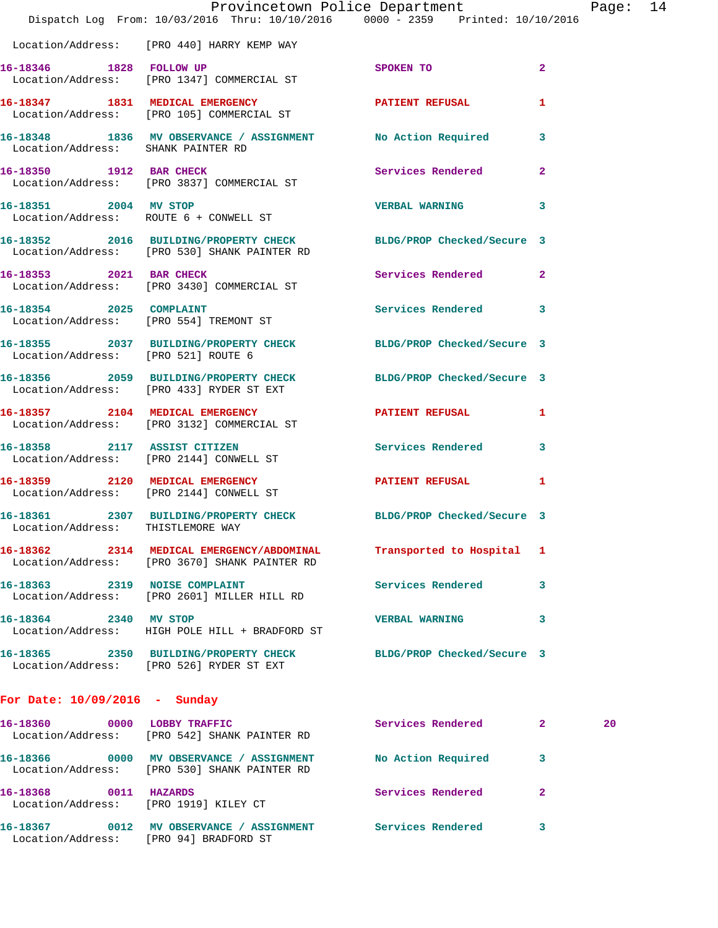|                                     | Provincetown Police Department The Page: 14<br>Dispatch Log From: 10/03/2016 Thru: 10/10/2016 0000 - 2359 Printed: 10/10/2016 |                           |                |    |  |
|-------------------------------------|-------------------------------------------------------------------------------------------------------------------------------|---------------------------|----------------|----|--|
|                                     | Location/Address: [PRO 440] HARRY KEMP WAY                                                                                    |                           |                |    |  |
|                                     | 16-18346 1828 FOLLOW UP 3POKEN TO<br>Location/Address: [PRO 1347] COMMERCIAL ST                                               |                           | $\overline{2}$ |    |  |
|                                     | 16-18347 1831 MEDICAL EMERGENCY PATIENT REFUSAL 1<br>Location/Address: [PRO 105] COMMERCIAL ST                                |                           |                |    |  |
| Location/Address: SHANK PAINTER RD  | 16-18348 1836 MV OBSERVANCE / ASSIGNMENT No Action Required 3                                                                 |                           |                |    |  |
|                                     | 16-18350 1912 BAR CHECK<br>Location/Address: [PRO 3837] COMMERCIAL ST                                                         | Services Rendered 2       |                |    |  |
|                                     | 16-18351 2004 MV STOP<br>Location/Address: ROUTE 6 + CONWELL ST                                                               | <b>VERBAL WARNING 3</b>   |                |    |  |
|                                     | 16-18352 2016 BUILDING/PROPERTY CHECK BLDG/PROP Checked/Secure 3<br>Location/Address: [PRO 530] SHANK PAINTER RD              |                           |                |    |  |
|                                     | 16-18353 2021 BAR CHECK<br>Location/Address: [PRO 3430] COMMERCIAL ST                                                         | Services Rendered 2       |                |    |  |
|                                     | 16-18354 2025 COMPLAINT<br>Location/Address: [PRO 554] TREMONT ST                                                             | Services Rendered 3       |                |    |  |
| Location/Address: [PRO 521] ROUTE 6 | 16-18355 2037 BUILDING/PROPERTY CHECK BLDG/PROP Checked/Secure 3                                                              |                           |                |    |  |
|                                     | 16-18356 2059 BUILDING/PROPERTY CHECK BLDG/PROP Checked/Secure 3<br>Location/Address: [PRO 433] RYDER ST EXT                  |                           |                |    |  |
|                                     | 16-18357 2104 MEDICAL EMERGENCY PATIENT REFUSAL 1<br>Location/Address: [PRO 3132] COMMERCIAL ST                               |                           |                |    |  |
|                                     | 16-18358 2117 ASSIST CITIZEN<br>Location/Address: [PRO 2144] CONWELL ST                                                       | Services Rendered 3       |                |    |  |
|                                     | 16-18359 2120 MEDICAL EMERGENCY NEWSFALL PATIENT REFUSAL 1<br>Location/Address: [PRO 2144] CONWELL ST                         |                           |                |    |  |
| Location/Address: THISTLEMORE WAY   | 16-18361 2307 BUILDING/PROPERTY CHECK BLDG/PROP Checked/Secure 3                                                              |                           |                |    |  |
|                                     | 16-18362 2314 MEDICAL EMERGENCY/ABDOMINAL<br>Location/Address: [PRO 3670] SHANK PAINTER RD                                    | Transported to Hospital 1 |                |    |  |
| 16-18363 2319 NOISE COMPLAINT       | Location/Address: [PRO 2601] MILLER HILL RD                                                                                   | Services Rendered         | 3              |    |  |
| 16-18364 2340 MV STOP               | Location/Address: HIGH POLE HILL + BRADFORD ST                                                                                | <b>VERBAL WARNING</b>     | 3              |    |  |
|                                     | 16-18365 2350 BUILDING/PROPERTY CHECK BLDG/PROP Checked/Secure 3<br>Location/Address: [PRO 526] RYDER ST EXT                  |                           |                |    |  |
| For Date: $10/09/2016$ - Sunday     |                                                                                                                               |                           |                |    |  |
| 16-18360 0000 LOBBY TRAFFIC         | Location/Address: [PRO 542] SHANK PAINTER RD                                                                                  | Services Rendered 2       |                | 20 |  |

Location/Address: [PRO 530] SHANK PAINTER RD

Location/Address: [PRO 1919] KILEY CT

**16-18367 0012 MV OBSERVANCE / ASSIGNMENT Services Rendered 3**  Location/Address: [PRO 94] BRADFORD ST

**16-18366 0000 MV OBSERVANCE / ASSIGNMENT No Action Required 3 16-18368 0011 HAZARDS Services Rendered 2**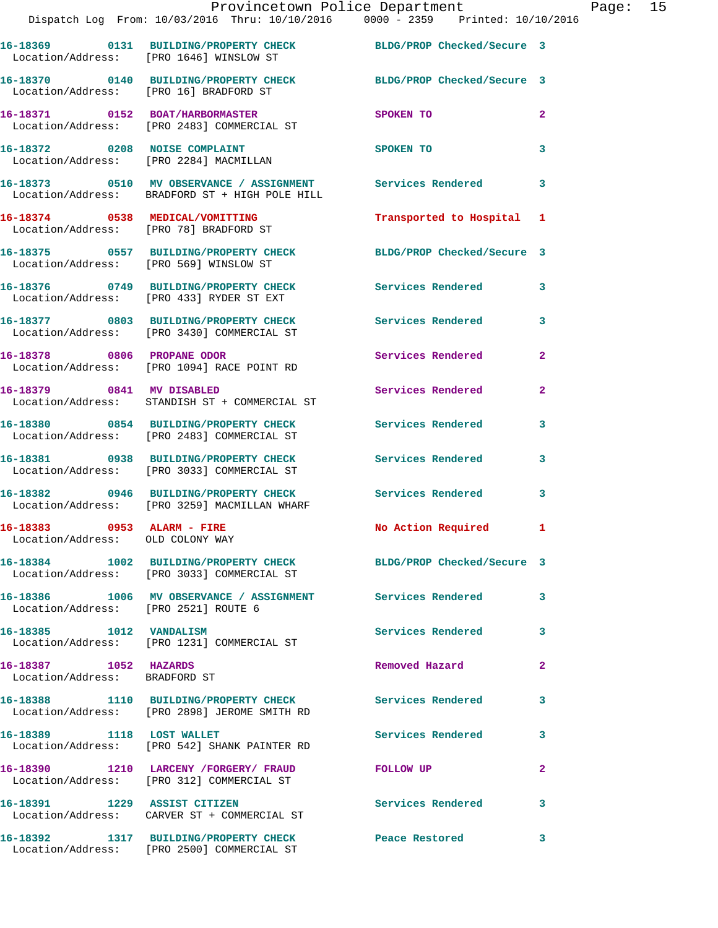|                                                                | Provincetown Police Department<br>Dispatch Log From: $10/03/2016$ Thru: $10/10/2016$ 0000 - 2359 Printed: $10/10/2016$ |                           | Pa             |
|----------------------------------------------------------------|------------------------------------------------------------------------------------------------------------------------|---------------------------|----------------|
|                                                                | 16-18369 0131 BUILDING/PROPERTY CHECK BLDG/PROP Checked/Secure 3<br>Location/Address: [PRO 1646] WINSLOW ST            |                           |                |
|                                                                | 16-18370 0140 BUILDING/PROPERTY CHECK BLDG/PROP Checked/Secure 3<br>Location/Address: [PRO 16] BRADFORD ST             |                           |                |
|                                                                | 16-18371 0152 BOAT/HARBORMASTER<br>Location/Address: [PRO 2483] COMMERCIAL ST                                          | SPOKEN TO                 | $\mathbf{2}$   |
|                                                                | 16-18372 0208 NOISE COMPLAINT<br>Location/Address: [PRO 2284] MACMILLAN                                                | SPOKEN TO                 | $\mathbf{3}$   |
|                                                                | 16-18373 0510 MV OBSERVANCE / ASSIGNMENT Services Rendered<br>Location/Address: BRADFORD ST + HIGH POLE HILL           |                           | 3              |
|                                                                | 16-18374 0538 MEDICAL/VOMITTING<br>Location/Address: [PRO 78] BRADFORD ST                                              | Transported to Hospital 1 |                |
|                                                                | 16-18375   0557   BUILDING/PROPERTY CHECK   BLDG/PROP Checked/Secure   3<br>Location/Address: [PRO 569] WINSLOW ST     |                           |                |
|                                                                | 16-18376 0749 BUILDING/PROPERTY CHECK Services Rendered<br>Location/Address: [PRO 433] RYDER ST EXT                    |                           | $\mathbf{3}$   |
|                                                                | 16-18377 0803 BUILDING/PROPERTY CHECK Services Rendered<br>Location/Address: [PRO 3430] COMMERCIAL ST                  |                           | 3              |
|                                                                | 16-18378 0806 PROPANE ODOR<br>Location/Address: [PRO 1094] RACE POINT RD                                               | Services Rendered         | $\mathbf{2}$   |
|                                                                | 16-18379 0841 MV DISABLED<br>Location/Address: STANDISH ST + COMMERCIAL ST                                             | Services Rendered         | $\overline{2}$ |
|                                                                | 16-18380 0854 BUILDING/PROPERTY CHECK Services Rendered<br>Location/Address: [PRO 2483] COMMERCIAL ST                  |                           | 3              |
|                                                                | 16-18381 0938 BUILDING/PROPERTY CHECK Services Rendered 3<br>Location/Address: [PRO 3033] COMMERCIAL ST                |                           |                |
|                                                                | 16-18382 0946 BUILDING/PROPERTY CHECK Services Rendered<br>Location/Address: [PRO 3259] MACMILLAN WHARF                |                           | 3              |
| 16-18383 0953 ALARM - FIRE<br>Location/Address: OLD COLONY WAY |                                                                                                                        | No Action Required 1      |                |
|                                                                | 16-18384 1002 BUILDING/PROPERTY CHECK BLDG/PROP Checked/Secure 3<br>Location/Address: [PRO 3033] COMMERCIAL ST         |                           |                |
|                                                                | 16-18386 1006 MV OBSERVANCE / ASSIGNMENT Services Rendered<br>Location/Address: [PRO 2521] ROUTE 6                     |                           | 3              |
| 16-18385 1012 VANDALISM                                        | Location/Address: [PRO 1231] COMMERCIAL ST                                                                             | Services Rendered         | 3              |
| 16-18387 1052 HAZARDS<br>Location/Address: BRADFORD ST         |                                                                                                                        | Removed Hazard            | $\overline{a}$ |
|                                                                | 16-18388 1110 BUILDING/PROPERTY CHECK Services Rendered<br>Location/Address: [PRO 2898] JEROME SMITH RD                |                           | 3              |
| 16-18389 1118 LOST WALLET                                      | Location/Address: [PRO 542] SHANK PAINTER RD                                                                           | Services Rendered 3       |                |
|                                                                | 16-18390 1210 LARCENY / FORGERY / FRAUD FOLLOW UP<br>Location/Address: [PRO 312] COMMERCIAL ST                         |                           | $\mathbf{2}$   |
|                                                                | 16-18391 1229 ASSIST CITIZEN<br>Location/Address: CARVER ST + COMMERCIAL ST                                            | Services Rendered 3       |                |
|                                                                | 16-18392 1317 BUILDING/PROPERTY CHECK Peace Restored                                                                   |                           | 3              |

Location/Address: [PRO 2500] COMMERCIAL ST

age: 15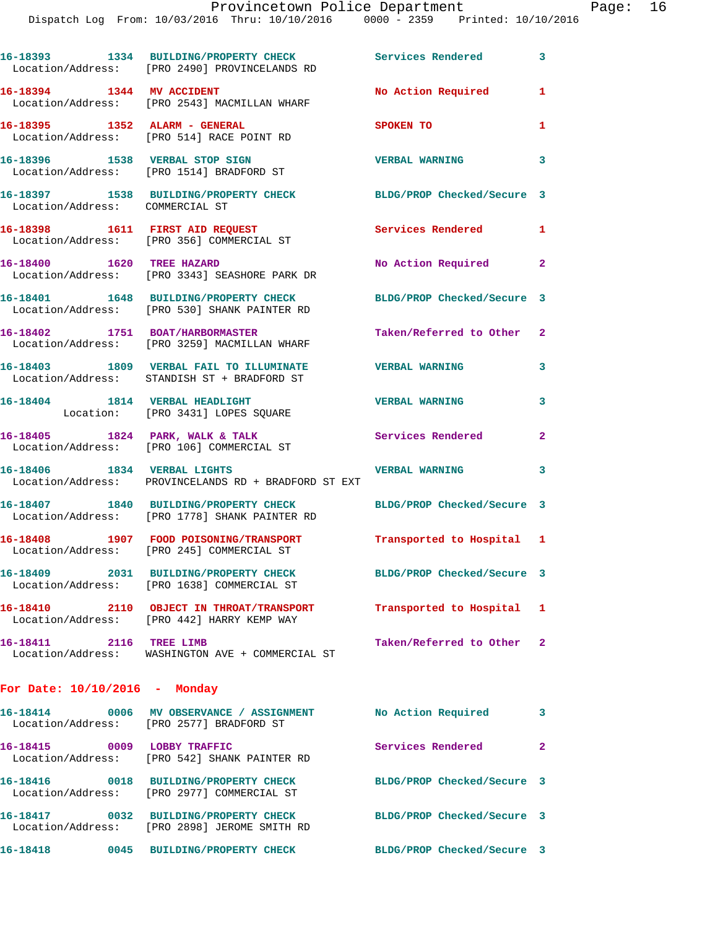Dispatch Log From: 10/03/2016 Thru: 10/10/2016 0000 - 2359 Printed: 10/10/2016

|                                 | 16-18393 1334 BUILDING/PROPERTY CHECK<br>Location/Address: [PRO 2490] PROVINCELANDS RD | <b>Services Rendered</b>   | $\mathbf{3}$               |  |  |  |
|---------------------------------|----------------------------------------------------------------------------------------|----------------------------|----------------------------|--|--|--|
| 16-18394 1344 MV ACCIDENT       | Location/Address: [PRO 2543] MACMILLAN WHARF                                           | No Action Required         | $\mathbf{1}$               |  |  |  |
|                                 | 16-18395 1352 ALARM - GENERAL<br>Location/Address: [PRO 514] RACE POINT RD             | SPOKEN TO                  | $\mathbf{1}$               |  |  |  |
|                                 | 16-18396 1538 VERBAL STOP SIGN<br>Location/Address: [PRO 1514] BRADFORD ST             | <b>VERBAL WARNING</b>      | 3                          |  |  |  |
| Location/Address: COMMERCIAL ST | 16-18397 1538 BUILDING/PROPERTY CHECK                                                  | BLDG/PROP Checked/Secure 3 |                            |  |  |  |
|                                 | 16-18398 1611 FIRST AID REQUEST<br>Location/Address: [PRO 356] COMMERCIAL ST           | Services Rendered          | $\mathbf{1}$               |  |  |  |
| 16-18400 1620 TREE HAZARD       | Location/Address: [PRO 3343] SEASHORE PARK DR                                          | No Action Required         | $\mathbf{2}$               |  |  |  |
|                                 | 16-18401 1648 BUILDING/PROPERTY CHECK<br>Location/Address: [PRO 530] SHANK PAINTER RD  | BLDG/PROP Checked/Secure 3 |                            |  |  |  |
|                                 | 16-18402 1751 BOAT/HARBORMASTER<br>Location/Address: [PRO 3259] MACMILLAN WHARF        | Taken/Referred to Other    | $\mathbf{2}$               |  |  |  |
|                                 | 16-18403 1809 VERBAL FAIL TO ILLUMINATE<br>Location/Address: STANDISH ST + BRADFORD ST | <b>VERBAL WARNING</b>      | 3                          |  |  |  |
| 16-18404 1814 VERBAL HEADLIGHT  | Location: [PRO 3431] LOPES SQUARE                                                      | <b>VERBAL WARNING</b>      | 3                          |  |  |  |
|                                 | 16-18405 1824 PARK, WALK & TALK<br>Location/Address: [PRO 106] COMMERCIAL ST           | <b>Services Rendered</b>   | $\mathbf{2}$               |  |  |  |
| 16-18406 1834 VERBAL LIGHTS     | Location/Address: PROVINCELANDS RD + BRADFORD ST EXT                                   | <b>VERBAL WARNING</b>      | 3                          |  |  |  |
|                                 | 16-18407 1840 BUILDING/PROPERTY CHECK<br>Location/Address: [PRO 1778] SHANK PAINTER RD | BLDG/PROP Checked/Secure 3 |                            |  |  |  |
|                                 | 16-18408 1907 FOOD POISONING/TRANSPORT<br>Location/Address: [PRO 245] COMMERCIAL ST    | Transported to Hospital 1  |                            |  |  |  |
| 16-18409                        | 2031 BUILDING/PROPERTY CHECK<br>Location/Address: [PRO 1638] COMMERCIAL ST             | BLDG/PROP Checked/Secure 3 |                            |  |  |  |
|                                 | 16-18410 2110 OBJECT IN THROAT/TRANSPORT<br>Location/Address: [PRO 442] HARRY KEMP WAY | Transported to Hospital 1  |                            |  |  |  |
| 16-18411 2116 TREE LIMB         | Location/Address: WASHINGTON AVE + COMMERCIAL ST                                       | Taken/Referred to Other 2  |                            |  |  |  |
| For Date: $10/10/2016$ - Monday |                                                                                        |                            |                            |  |  |  |
|                                 | 16-18414 0006 MV OBSERVANCE / ASSIGNMENT<br>Location/Address: [PRO 2577] BRADFORD ST   | No Action Required         | $\overline{\phantom{a}}$ 3 |  |  |  |
| 16-18415 0009 LOBBY TRAFFIC     | Location/Address: [PRO 542] SHANK PAINTER RD                                           | Services Rendered          | $\mathbf{2}$               |  |  |  |
|                                 | 16-18416 0018 BUILDING/PROPERTY CHECK<br>Location/Address: [PRO 2977] COMMERCIAL ST    | BLDG/PROP Checked/Secure 3 |                            |  |  |  |
|                                 | 16-18417 0032 BUILDING/PROPERTY CHECK<br>Location/Address: [PRO 2898] JEROME SMITH RD  | BLDG/PROP Checked/Secure 3 |                            |  |  |  |
|                                 |                                                                                        | BLDG/PROP Checked/Secure 3 |                            |  |  |  |